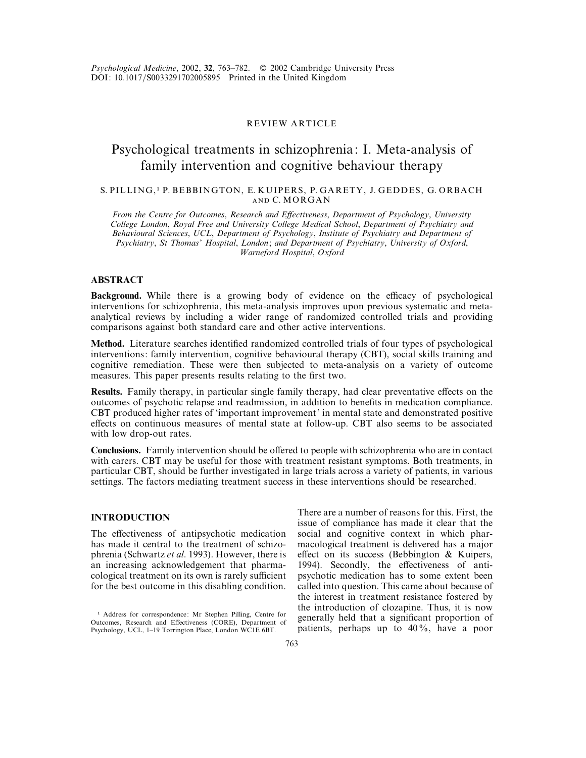# REVIEW ARTICLE

# Psychological treatments in schizophrenia: I. Meta-analysis of family intervention and cognitive behaviour therapy

# S. PILLING,<sup>1</sup> P. BEBBINGTON, E. KUIPERS, P. GARETY, J. GEDDES, G. ORBACH C. MORGAN

*From the Centre for Outcomes*, *Research and Effectiveness*, *Department of Psychology*, *University College London*, *Royal Free and University College Medical School*, *Department of Psychiatry and Behavioural Sciences*, *UCL*, *Department of Psychology*, *Institute of Psychiatry and Department of Psychiatry*, *St Thomas*' *Hospital*, *London*; *and Department of Psychiatry*, *University of Oxford*, *Warneford Hospital*, *Oxford*

# **ABSTRACT**

**Background.** While there is a growing body of evidence on the efficacy of psychological interventions for schizophrenia, this meta-analysis improves upon previous systematic and metaanalytical reviews by including a wider range of randomized controlled trials and providing comparisons against both standard care and other active interventions.

**Method.** Literature searches identified randomized controlled trials of four types of psychological interventions: family intervention, cognitive behavioural therapy (CBT), social skills training and cognitive remediation. These were then subjected to meta-analysis on a variety of outcome measures. This paper presents results relating to the first two.

**Results.** Family therapy, in particular single family therapy, had clear preventative effects on the outcomes of psychotic relapse and readmission, in addition to benefits in medication compliance. CBT produced higher rates of 'important improvement' in mental state and demonstrated positive effects on continuous measures of mental state at follow-up. CBT also seems to be associated with low drop-out rates.

**Conclusions.** Family intervention should be offered to people with schizophrenia who are in contact with carers. CBT may be useful for those with treatment resistant symptoms. Both treatments, in particular CBT, should be further investigated in large trials across a variety of patients, in various settings. The factors mediating treatment success in these interventions should be researched.

## **INTRODUCTION**

The effectiveness of antipsychotic medication has made it central to the treatment of schizophrenia (Schwartz *et al*. 1993). However, there is an increasing acknowledgement that pharmacological treatment on its own is rarely sufficient for the best outcome in this disabling condition.

There are a number of reasons for this. First, the issue of compliance has made it clear that the social and cognitive context in which pharmacological treatment is delivered has a major effect on its success (Bebbington & Kuipers, 1994). Secondly, the effectiveness of antipsychotic medication has to some extent been called into question. This came about because of the interest in treatment resistance fostered by the introduction of clozapine. Thus, it is now generally held that a significant proportion of patients, perhaps up to 40%, have a poor

<sup>&</sup>lt;sup>1</sup> Address for correspondence: Mr Stephen Pilling, Centre for Outcomes, Research and Effectiveness (CORE), Department of Psychology, UCL, 1–19 Torrington Place, London WC1E 6BT.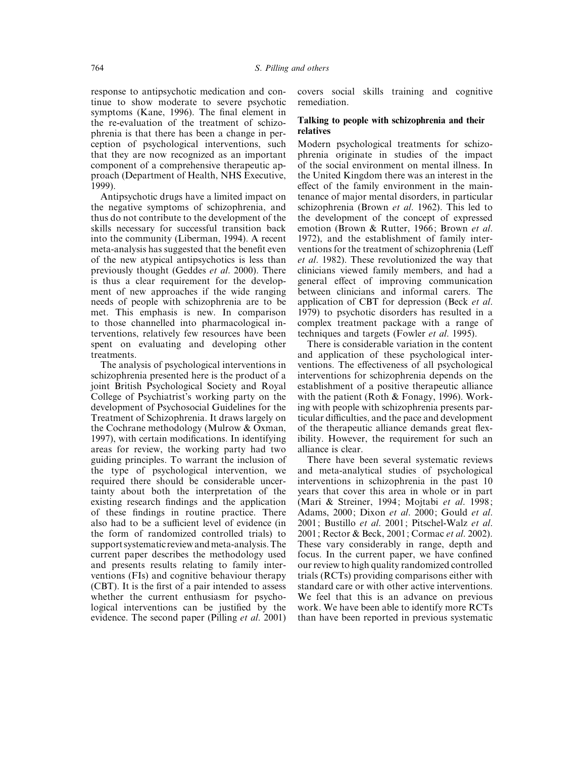response to antipsychotic medication and continue to show moderate to severe psychotic symptoms (Kane, 1996). The final element in the re-evaluation of the treatment of schizophrenia is that there has been a change in perception of psychological interventions, such that they are now recognized as an important component of a comprehensive therapeutic approach (Department of Health, NHS Executive, 1999).

Antipsychotic drugs have a limited impact on the negative symptoms of schizophrenia, and thus do not contribute to the development of the skills necessary for successful transition back into the community (Liberman, 1994). A recent meta-analysis has suggested that the benefit even of the new atypical antipsychotics is less than previously thought (Geddes *et al*. 2000). There is thus a clear requirement for the development of new approaches if the wide ranging needs of people with schizophrenia are to be met. This emphasis is new. In comparison to those channelled into pharmacological interventions, relatively few resources have been spent on evaluating and developing other treatments.

The analysis of psychological interventions in schizophrenia presented here is the product of a joint British Psychological Society and Royal College of Psychiatrist's working party on the development of Psychosocial Guidelines for the Treatment of Schizophrenia. It draws largely on the Cochrane methodology (Mulrow & Oxman, 1997), with certain modifications. In identifying areas for review, the working party had two guiding principles. To warrant the inclusion of the type of psychological intervention, we required there should be considerable uncertainty about both the interpretation of the existing research findings and the application of these findings in routine practice. There also had to be a sufficient level of evidence (in the form of randomized controlled trials) to support systematic review andmeta-analysis.The current paper describes the methodology used and presents results relating to family interventions (FIs) and cognitive behaviour therapy (CBT). It is the first of a pair intended to assess whether the current enthusiasm for psychological interventions can be justified by the evidence. The second paper (Pilling *et al*. 2001) covers social skills training and cognitive remediation.

# **Talking to people with schizophrenia and their relatives**

Modern psychological treatments for schizophrenia originate in studies of the impact of the social environment on mental illness. In the United Kingdom there was an interest in the effect of the family environment in the maintenance of major mental disorders, in particular schizophrenia (Brown *et al*. 1962). This led to the development of the concept of expressed emotion (Brown & Rutter, 1966; Brown *et al*. 1972), and the establishment of family interventions for the treatment of schizophrenia (Leff *et al*. 1982). These revolutionized the way that clinicians viewed family members, and had a general effect of improving communication between clinicians and informal carers. The application of CBT for depression (Beck *et al*. 1979) to psychotic disorders has resulted in a complex treatment package with a range of techniques and targets (Fowler *et al*. 1995).

There is considerable variation in the content and application of these psychological interventions. The effectiveness of all psychological interventions for schizophrenia depends on the establishment of a positive therapeutic alliance with the patient (Roth & Fonagy, 1996). Working with people with schizophrenia presents particular difficulties, and the pace and development of the therapeutic alliance demands great flexibility. However, the requirement for such an alliance is clear.

There have been several systematic reviews and meta-analytical studies of psychological interventions in schizophrenia in the past 10 years that cover this area in whole or in part (Mari & Streiner, 1994; Mojtabi *et al*. 1998; Adams, 2000; Dixon *et al*. 2000; Gould *et al*. 2001; Bustillo *et al*. 2001; Pitschel-Walz *et al*. 2001; Rector & Beck, 2001; Cormac *et al*. 2002). These vary considerably in range, depth and focus. In the current paper, we have confined our review to high quality randomized controlled trials (RCTs) providing comparisons either with standard care or with other active interventions. We feel that this is an advance on previous work. We have been able to identify more RCTs than have been reported in previous systematic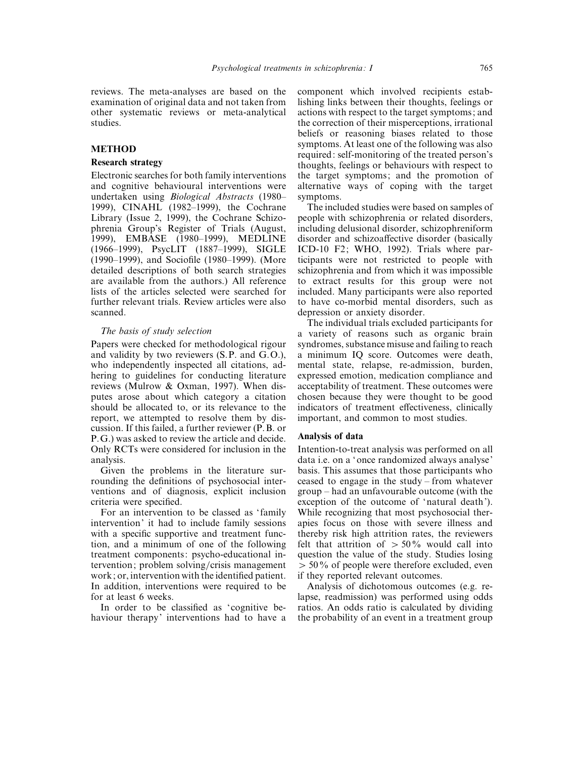reviews. The meta-analyses are based on the examination of original data and not taken from other systematic reviews or meta-analytical studies.

# **METHOD**

## **Research strategy**

Electronic searches for both family interventions and cognitive behavioural interventions were undertaken using *Biological Abstracts* (1980– 1999), CINAHL (1982–1999), the Cochrane Library (Issue 2, 1999), the Cochrane Schizophrenia Group's Register of Trials (August, 1999), EMBASE (1980–1999), MEDLINE (1966–1999), PsycLIT (1887–1999), SIGLE (1990–1999), and Sociofile (1980–1999). (More detailed descriptions of both search strategies are available from the authors.) All reference lists of the articles selected were searched for further relevant trials. Review articles were also scanned.

#### *The basis of study selection*

Papers were checked for methodological rigour and validity by two reviewers (S.P. and G.O.), who independently inspected all citations, adhering to guidelines for conducting literature reviews (Mulrow & Oxman, 1997). When disputes arose about which category a citation should be allocated to, or its relevance to the report, we attempted to resolve them by discussion. If this failed, a further reviewer (P.B. or P.G.) was asked to review the article and decide. Only RCTs were considered for inclusion in the analysis.

Given the problems in the literature surrounding the definitions of psychosocial interventions and of diagnosis, explicit inclusion criteria were specified.

For an intervention to be classed as 'family intervention' it had to include family sessions with a specific supportive and treatment function, and a minimum of one of the following treatment components: psycho-educational intervention; problem solving/crisis management work; or, intervention with the identified patient. In addition, interventions were required to be for at least 6 weeks.

In order to be classified as 'cognitive behaviour therapy' interventions had to have a component which involved recipients establishing links between their thoughts, feelings or actions with respect to the target symptoms; and the correction of their misperceptions, irrational beliefs or reasoning biases related to those symptoms. At least one of the following was also required: self-monitoring of the treated person's thoughts, feelings or behaviours with respect to the target symptoms; and the promotion of alternative ways of coping with the target symptoms.

The included studies were based on samples of people with schizophrenia or related disorders, including delusional disorder, schizophreniform disorder and schizoaffective disorder (basically ICD-10 F2; WHO, 1992). Trials where participants were not restricted to people with schizophrenia and from which it was impossible to extract results for this group were not included. Many participants were also reported to have co-morbid mental disorders, such as depression or anxiety disorder.

The individual trials excluded participants for a variety of reasons such as organic brain syndromes, substance misuse and failing to reach a minimum IQ score. Outcomes were death, mental state, relapse, re-admission, burden, expressed emotion, medication compliance and acceptability of treatment. These outcomes were chosen because they were thought to be good indicators of treatment effectiveness, clinically important, and common to most studies.

#### **Analysis of data**

Intention-to-treat analysis was performed on all data i.e. on a 'once randomized always analyse' basis. This assumes that those participants who ceased to engage in the study – from whatever group – had an unfavourable outcome (with the exception of the outcome of 'natural death'). While recognizing that most psychosocial therapies focus on those with severe illness and thereby risk high attrition rates, the reviewers felt that attrition of  $> 50\%$  would call into question the value of the study. Studies losing  $> 50\%$  of people were therefore excluded, even if they reported relevant outcomes.

Analysis of dichotomous outcomes (e.g. relapse, readmission) was performed using odds ratios. An odds ratio is calculated by dividing the probability of an event in a treatment group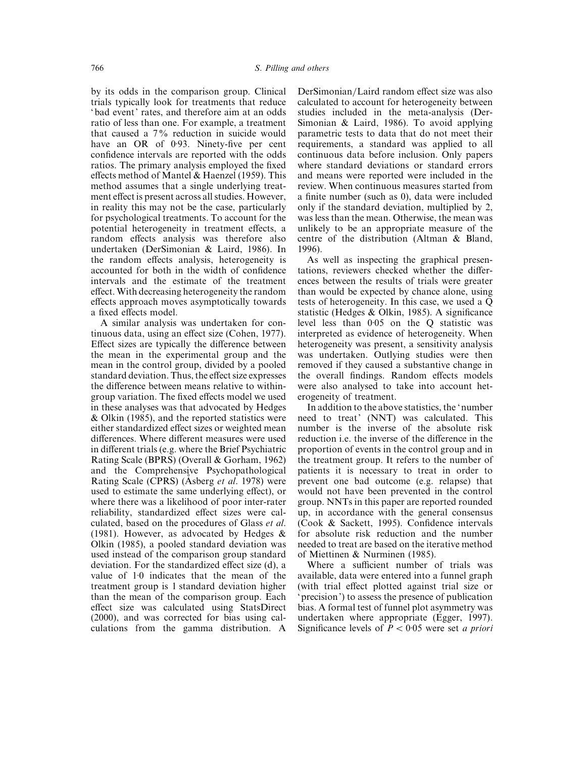by its odds in the comparison group. Clinical trials typically look for treatments that reduce 'bad event' rates, and therefore aim at an odds ratio of less than one. For example, a treatment that caused a 7% reduction in suicide would have an OR of 0.93. Ninety-five per cent confidence intervals are reported with the odds ratios. The primary analysis employed the fixed effects method of Mantel & Haenzel (1959). This method assumes that a single underlying treatment effect is present across all studies. However, in reality this may not be the case, particularly for psychological treatments. To account for the potential heterogeneity in treatment effects, a random effects analysis was therefore also undertaken (DerSimonian & Laird, 1986). In the random effects analysis, heterogeneity is accounted for both in the width of confidence intervals and the estimate of the treatment effect. With decreasing heterogeneity the random effects approach moves asymptotically towards a fixed effects model.

A similar analysis was undertaken for continuous data, using an effect size (Cohen, 1977). Effect sizes are typically the difference between the mean in the experimental group and the mean in the control group, divided by a pooled standard deviation. Thus, the effect size expresses the difference between means relative to withingroup variation. The fixed effects model we used in these analyses was that advocated by Hedges & Olkin (1985), and the reported statistics were either standardized effect sizes or weighted mean differences. Where different measures were used in different trials (e.g. where the Brief Psychiatric Rating Scale (BPRS) (Overall & Gorham, 1962) and the Comprehensive Psychopathological Rating Scale (CPRS) (Asberg *et al.* 1978) were used to estimate the same underlying effect), or where there was a likelihood of poor inter-rater reliability, standardized effect sizes were calculated, based on the procedures of Glass *et al*. (1981). However, as advocated by Hedges & Olkin (1985), a pooled standard deviation was used instead of the comparison group standard deviation. For the standardized effect size (d), a value of 1.0 indicates that the mean of the treatment group is 1 standard deviation higher than the mean of the comparison group. Each effect size was calculated using StatsDirect (2000), and was corrected for bias using calculations from the gamma distribution. A

DerSimonian/Laird random effect size was also calculated to account for heterogeneity between studies included in the meta-analysis (Der-Simonian & Laird, 1986). To avoid applying parametric tests to data that do not meet their requirements, a standard was applied to all continuous data before inclusion. Only papers where standard deviations or standard errors and means were reported were included in the review. When continuous measures started from a finite number (such as 0), data were included only if the standard deviation, multiplied by 2, was less than the mean. Otherwise, the mean was unlikely to be an appropriate measure of the centre of the distribution (Altman & Bland, 1996).

As well as inspecting the graphical presentations, reviewers checked whether the differences between the results of trials were greater than would be expected by chance alone, using tests of heterogeneity. In this case, we used a Q statistic (Hedges & Olkin, 1985). A significance level less than 0±05 on the Q statistic was interpreted as evidence of heterogeneity. When heterogeneity was present, a sensitivity analysis was undertaken. Outlying studies were then removed if they caused a substantive change in the overall findings. Random effects models were also analysed to take into account heterogeneity of treatment.

In addition to the above statistics, the 'number need to treat' (NNT) was calculated. This number is the inverse of the absolute risk reduction i.e. the inverse of the difference in the proportion of events in the control group and in the treatment group. It refers to the number of patients it is necessary to treat in order to prevent one bad outcome (e.g. relapse) that would not have been prevented in the control group. NNTs in this paper are reported rounded up, in accordance with the general consensus (Cook & Sackett, 1995). Confidence intervals for absolute risk reduction and the number needed to treat are based on the iterative method of Miettinen & Nurminen (1985).

Where a sufficient number of trials was available, data were entered into a funnel graph (with trial effect plotted against trial size or 'precision') to assess the presence of publication bias. A formal test of funnel plot asymmetry was undertaken where appropriate (Egger, 1997). Significance levels of  $P < 0.05$  were set *a priori*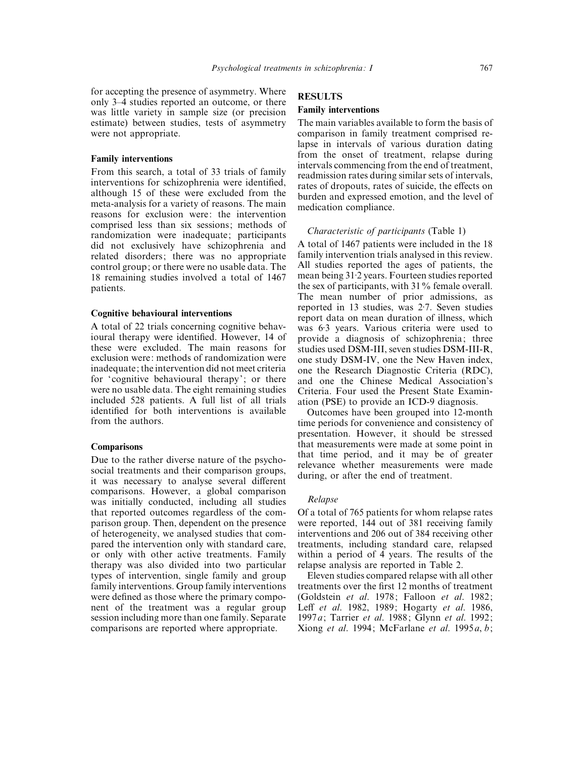for accepting the presence of asymmetry. Where only 3–4 studies reported an outcome, or there was little variety in sample size (or precision estimate) between studies, tests of asymmetry were not appropriate.

#### **Family interventions**

From this search, a total of 33 trials of family interventions for schizophrenia were identified, although 15 of these were excluded from the meta-analysis for a variety of reasons. The main reasons for exclusion were: the intervention comprised less than six sessions; methods of randomization were inadequate; participants did not exclusively have schizophrenia and related disorders; there was no appropriate control group; or there were no usable data. The 18 remaining studies involved a total of 1467 patients.

### **Cognitive behavioural interventions**

A total of 22 trials concerning cognitive behavioural therapy were identified. However, 14 of these were excluded. The main reasons for exclusion were: methods of randomization were inadequate; the intervention did not meet criteria for 'cognitive behavioural therapy'; or there were no usable data. The eight remaining studies included 528 patients. A full list of all trials identified for both interventions is available from the authors.

#### **Comparisons**

Due to the rather diverse nature of the psychosocial treatments and their comparison groups, it was necessary to analyse several different comparisons. However, a global comparison was initially conducted, including all studies that reported outcomes regardless of the comparison group. Then, dependent on the presence of heterogeneity, we analysed studies that compared the intervention only with standard care, or only with other active treatments. Family therapy was also divided into two particular types of intervention, single family and group family interventions. Group family interventions were defined as those where the primary component of the treatment was a regular group session including more than one family. Separate comparisons are reported where appropriate.

# **RESULTS**

# **Family interventions**

The main variables available to form the basis of comparison in family treatment comprised relapse in intervals of various duration dating from the onset of treatment, relapse during intervals commencing from the end of treatment, readmission rates during similar sets of intervals, rates of dropouts, rates of suicide, the effects on burden and expressed emotion, and the level of medication compliance.

#### *Characteristic of participants* (Table 1)

A total of 1467 patients were included in the 18 family intervention trials analysed in this review. All studies reported the ages of patients, the mean being 31.2 years. Fourteen studies reported the sex of participants, with 31% female overall. The mean number of prior admissions, as reported in 13 studies, was 2.7. Seven studies report data on mean duration of illness, which was 6.3 years. Various criteria were used to provide a diagnosis of schizophrenia; three studies used DSM-III, seven studies DSM-III-R, one study DSM-IV, one the New Haven index, one the Research Diagnostic Criteria (RDC), and one the Chinese Medical Association's Criteria. Four used the Present State Examination (PSE) to provide an ICD-9 diagnosis.

Outcomes have been grouped into 12-month time periods for convenience and consistency of presentation. However, it should be stressed that measurements were made at some point in that time period, and it may be of greater relevance whether measurements were made during, or after the end of treatment.

#### *Relapse*

Of a total of 765 patients for whom relapse rates were reported, 144 out of 381 receiving family interventions and 206 out of 384 receiving other treatments, including standard care, relapsed within a period of 4 years. The results of the relapse analysis are reported in Table 2.

Eleven studies compared relapse with all other treatments over the first 12 months of treatment (Goldstein *et al*. 1978; Falloon *et al*. 1982; Leff *et al*. 1982, 1989; Hogarty *et al*. 1986, 1997*a*; Tarrier *et al*. 1988; Glynn *et al*. 1992; Xiong *et al*. 1994; McFarlane *et al*. 1995*a*, *b*;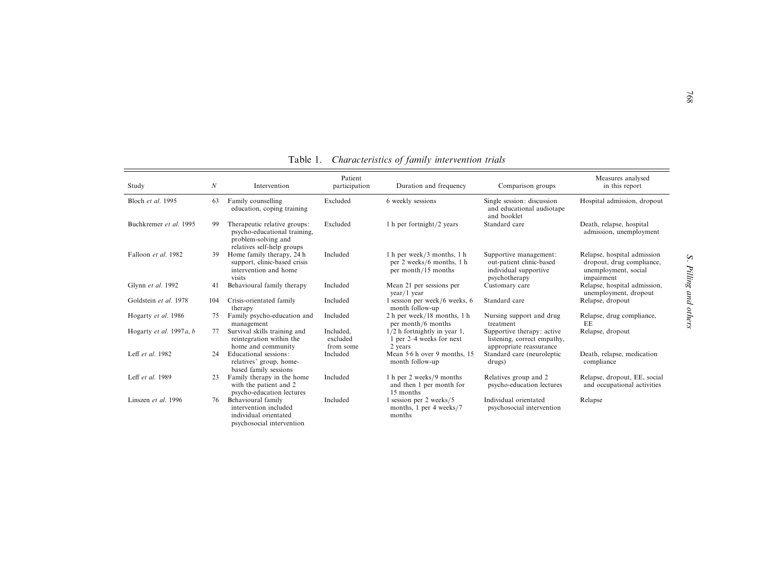| Study                    | $\boldsymbol{N}$ | Intervention                                                                                                      | Patient<br>participation           | Duration and frequency                                                         | Comparison groups                                                                            | Measures analysed<br>in this report                                                            |
|--------------------------|------------------|-------------------------------------------------------------------------------------------------------------------|------------------------------------|--------------------------------------------------------------------------------|----------------------------------------------------------------------------------------------|------------------------------------------------------------------------------------------------|
| Bloch et al. 1995        | 63               | Family counselling<br>education, coping training                                                                  | Excluded                           | 6 weekly sessions                                                              | Single session: discussion<br>and educational audiotape<br>and booklet                       | Hospital admission, dropout                                                                    |
| Buchkremer et al. 1995   | 99               | Therapeutic relative groups:<br>psycho-educational training,<br>problem-solving and<br>relatives self-help groups | Excluded                           | 1 h per fortnight/2 years                                                      | Standard care                                                                                | Death, relapse, hospital<br>admission, unemployment                                            |
| Falloon et al. 1982      | 39               | Home family therapy, 24 h<br>support, clinic-based crisis<br>intervention and home<br>visits                      | Included                           | l h per week/3 months, 1 h<br>per 2 weeks/6 months, 1 h<br>per month/15 months | Supportive management:<br>out-patient clinic-based<br>individual supportive<br>psychotherapy | Relapse, hospital admission<br>dropout, drug compliance,<br>unemployment, social<br>impairment |
| Glynn et al. 1992        | 41               | Behavioural family therapy                                                                                        | Included                           | Mean 21 per sessions per<br>year/1 year                                        | Customary care                                                                               | Relapse, hospital admission,<br>unemployment, dropout                                          |
| Goldstein et al. 1978    | 104              | Crisis-orientated family<br>therapy                                                                               | Included                           | session per week/6 weeks, 6<br>month follow-up                                 | Standard care                                                                                | Relapse, dropout                                                                               |
| Hogarty et al. 1986      | 75               | Family psycho-education and<br>management                                                                         | Included                           | 2 h per week/18 months, 1 h<br>per month/6 months                              | Nursing support and drug<br>treatment                                                        | Relapse, drug compliance,<br>EE                                                                |
| Hogarty et al. 1997 a, b | 77               | Survival skills training and<br>reintegration within the<br>home and community                                    | Included.<br>excluded<br>from some | $1/2$ h fortnightly in year 1,<br>per 2–4 weeks for next<br>2 years            | Supportive therapy: active<br>listening, correct empathy,<br>appropriate reassurance         | Relapse, dropout                                                                               |
| Leff et al. 1982         | 24               | Educational sessions:<br>relatives' group, home-<br>based family sessions                                         | Included                           | Mean 5.6 h over 9 months, 15<br>month follow-up                                | Standard care (neuroleptic<br>drugs)                                                         | Death, relapse, medication<br>compliance                                                       |
| Leff et al. 1989         | 23               | Family therapy in the home<br>with the patient and 2                                                              | Included                           | h per 2 weeks/9 months<br>and then 1 per month for                             | Relatives group and 2<br>psycho-education lectures                                           | Relapse, dropout, EE, social<br>and occupational activities                                    |

Individual orientatedpsychosocial intervention

| Table 1. Characteristics of family intervention trials |  |  |
|--------------------------------------------------------|--|--|
|--------------------------------------------------------|--|--|

15 monthsIncluded 1 session per 2 weeks/5

months

months, 1 per 4 weeks/7

Linszen et al. 1996

Leff et al. 1982

Leff et al. 1989

76 Behavioural family intervention included individual orientatedpsychosocial intervention

23 Family therapy in the home with the patient and 2 psycho-education lectures

and occupational activities

Relapse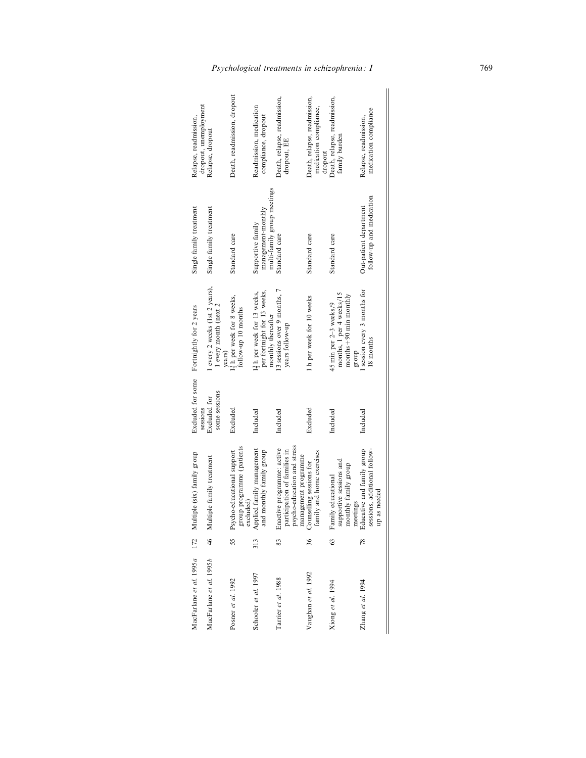| monthly thereafter<br>years follow-up<br>vears)<br>some sessions<br>Excluded for<br>Excluded<br>sessions<br>Excluded<br>Included<br>Included<br>psycho-education and stress<br>group programme (patients<br>Applied family management<br>Enactive programme: active<br>participation of families in<br>monthly family group<br>Psycho-educational support<br>family and home exercises<br>management programme<br>Counselling sessions for<br>46 Multiple family treatment<br>Family educational<br>excluded<br>and<br>55<br>63<br>$\frac{313}{2}$<br>83<br>36<br>MacFarlane et al. 1995b<br>Vaughan et al. 1992<br>Schooler et al. 1997<br>Posner et al. 1992<br>Tarrier et al. 1988<br>Xiong et al. 1994 |          |                                                                                   |                                                                        | dropout, unemployment                                    |
|------------------------------------------------------------------------------------------------------------------------------------------------------------------------------------------------------------------------------------------------------------------------------------------------------------------------------------------------------------------------------------------------------------------------------------------------------------------------------------------------------------------------------------------------------------------------------------------------------------------------------------------------------------------------------------------------------------|----------|-----------------------------------------------------------------------------------|------------------------------------------------------------------------|----------------------------------------------------------|
|                                                                                                                                                                                                                                                                                                                                                                                                                                                                                                                                                                                                                                                                                                            |          | 1 every 2 weeks (1st 2 years),<br>1 every month (next 2                           | Single family treatment                                                | Relapse, dropout                                         |
|                                                                                                                                                                                                                                                                                                                                                                                                                                                                                                                                                                                                                                                                                                            |          | I <sub>3</sub> h per week for 8 weeks,<br>follow-up 10 months                     | Standard care                                                          | Death, readmission, dropout                              |
|                                                                                                                                                                                                                                                                                                                                                                                                                                                                                                                                                                                                                                                                                                            |          | per fortnight for 13 weeks,<br>l <sub>s</sub> h per week for 13 weeks,            | multi-family group meetings<br>management-monthly<br>Supportive family | Readmission, medication<br>compliance, dropout           |
|                                                                                                                                                                                                                                                                                                                                                                                                                                                                                                                                                                                                                                                                                                            |          | 13 sessions over 9 months, 7                                                      | Standard care                                                          | Death, relapse, readmission,<br>dropout, EE              |
|                                                                                                                                                                                                                                                                                                                                                                                                                                                                                                                                                                                                                                                                                                            |          | 1 h per week for 10 weeks                                                         | Standard care                                                          | Death, relapse, readmission,<br>medication compliance,   |
| supportive sessions and<br>monthly family group<br>meetings                                                                                                                                                                                                                                                                                                                                                                                                                                                                                                                                                                                                                                                | Included | months, 1 per 4 weeks/15<br>$months + 90$ min monthly<br>45 min per $2-3$ weeks/9 | Standard care                                                          | Death, relapse, readmission,<br>family burden<br>dropout |
| 18 months<br>dno.18<br>Included<br>Educative and family group<br>sessions, additional follow-<br>up as needed<br>78<br>Zhang et al. 1994                                                                                                                                                                                                                                                                                                                                                                                                                                                                                                                                                                   |          | I session every 3 months for                                                      | follow-up and medication<br>Out-patient department                     | medication compliance<br>Relapse, readmission,           |

# *Psychological treatments in schizophrenia: I* 769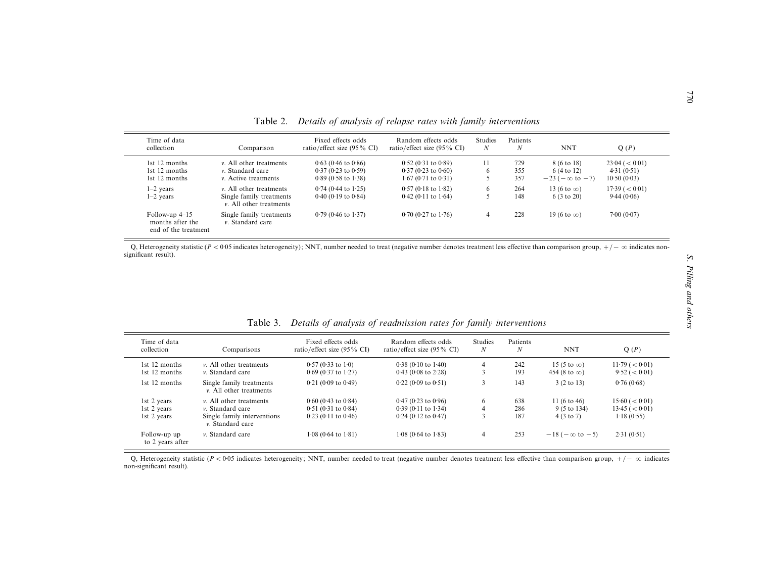| Time of data<br>collection               | Comparison                                                  | Fixed effects odds<br>ratio/effect size $(95\% \text{ CI})$                                                                                                                                        | Random effects odds<br>ratio/effect size $(95\% \text{ CI})$ | Studies<br>N   | Patients<br>N | <b>NNT</b>                    | Q(P)           |
|------------------------------------------|-------------------------------------------------------------|----------------------------------------------------------------------------------------------------------------------------------------------------------------------------------------------------|--------------------------------------------------------------|----------------|---------------|-------------------------------|----------------|
| 1st 12 months                            | $\nu$ . All other treatments                                | $0.63$ (0.46 to 0.86)                                                                                                                                                                              | $0.52(0.31 \text{ to } 0.89)$                                | 11             | 729           | 8 (6 to 18)                   | 23.04 (< 0.01) |
| 1st 12 months                            | v. Standard care                                            | $0.37(0.23 \text{ to } 0.59)$                                                                                                                                                                      | $0.37(0.23 \text{ to } 0.60)$                                | 6              | 355           | 6(4 to 12)                    | 4.31(0.51)     |
| 1st 12 months                            | v. Active treatments                                        | $0.89$ (0.58 to 1.38)                                                                                                                                                                              | $1.67$ (0.71 to 0.31)                                        |                | 357           | $-23(-\infty \text{ to } -7)$ | 10.50(0.03)    |
| $1-2$ years                              | $\nu$ . All other treatments                                | $0.74$ (0.44 to 1.25)                                                                                                                                                                              | $0.57$ (0.18 to 1.82)                                        | 6              | 264           | 13 (6 to $\infty$ )           | 17.39 (< 0.01) |
| $1-2$ years                              | Single family treatments<br><i>v</i> . All other treatments | $0.40$ (0.19 to $0.84$ )                                                                                                                                                                           | $0.42$ (0.11 to 1.64)                                        | 5              | 148           | $6(3 \text{ to } 20)$         | 9.44(0.06)     |
| Follow-up $4-15$                         | Single family treatments                                    | $0.79$ (0.46 to 1.37)                                                                                                                                                                              | $0.70$ (0.27 to 1.76)                                        | $\overline{4}$ | 228           | 19 (6 to $\infty$ )           | 7.00(0.07)     |
| months after the<br>end of the treatment | v. Standard care                                            |                                                                                                                                                                                                    |                                                              |                |               |                               |                |
|                                          |                                                             | Q, Heterogeneity statistic ( $P < 0.05$ indicates heterogeneity); NNT, number needed to treat (negative number denotes treatment less effective than comparison group, $+/- \infty$ indicates non- |                                                              |                |               |                               |                |
|                                          |                                                             |                                                                                                                                                                                                    |                                                              |                |               |                               |                |
|                                          |                                                             |                                                                                                                                                                                                    |                                                              |                |               |                               |                |
|                                          |                                                             |                                                                                                                                                                                                    |                                                              |                |               |                               |                |
| significant result).                     |                                                             |                                                                                                                                                                                                    |                                                              |                |               |                               |                |

|                                  | rable 3.                                                 |                                                  | Details of analysis of readmission rates for family interventions |                     |               |                               |                  |
|----------------------------------|----------------------------------------------------------|--------------------------------------------------|-------------------------------------------------------------------|---------------------|---------------|-------------------------------|------------------|
| Time of data<br>collection       | Comparisons                                              | Fixed effects odds<br>ratio/effect size (95% CI) | Random effects odds<br>ratio/effect size (95% CI)                 | <b>Studies</b><br>N | Patients<br>N | <b>NNT</b>                    | Q(P)             |
| 1st 12 months                    | <i>v</i> . All other treatments                          | $0.57(0.33 \text{ to } 1.0)$                     | $0.38(0.10 \text{ to } 1.40)$                                     | 4                   | 242           | $15(5 \text{ to } \infty)$    | 11.79 (< 0.01    |
| 1st 12 months                    | <i>v</i> . Standard care                                 | $0.69$ (0.37 to 1.27)                            | $0.43$ (0.08 to 2.28)                                             |                     | 193           | 454 (8 to $\infty$ )          | $9.52 \ (< 0.01$ |
| 1st 12 months                    | Single family treatments<br>$\nu$ . All other treatments | $0.21(0.09)$ to $0.49$ )                         | $0.22(0.09)$ to $0.51$ )                                          |                     | 143           | 3(2 to 13)                    | 0.76(0.68)       |
| 1st 2 years                      | $\nu$ . All other treatments                             | $0.60$ (0.43 to 0.84)                            | $0.47(0.23 \text{ to } 0.96)$                                     | 6                   | 638           | 11 $(6 to 46)$                | 15.60 (< 0.01)   |
| 1st 2 years                      | v. Standard care                                         | $0.51(0.31)$ to $0.84$ )                         | $0.39(0.11 \text{ to } 1.34)$                                     |                     | 286           | $9(5 \text{ to } 134)$        | 13.45 (< 0.01)   |
| 1st 2 years                      | Single family interventions<br>v. Standard care          | $0.23(0.11)$ to $0.46$ )                         | $0.24$ (0.12 to 0.47)                                             |                     | 187           | 4(3 to 7)                     | 1.18(0.55)       |
| Follow-up up<br>to 2 years after | v. Standard care                                         | $1.08$ (0.64 to $1.81$ )                         | $1.08$ (0.64 to 1.83)                                             | 4                   | 253           | $-18(-\infty \text{ to } -5)$ | 2.31(0.51)       |

Q, Heterogeneity statistic ( $P < 0.05$  indicates heterogeneity; NNT, number needed to treat (negative number denotes treatment less effective than comparison group,  $+/- \infty$  indicates non-significant result).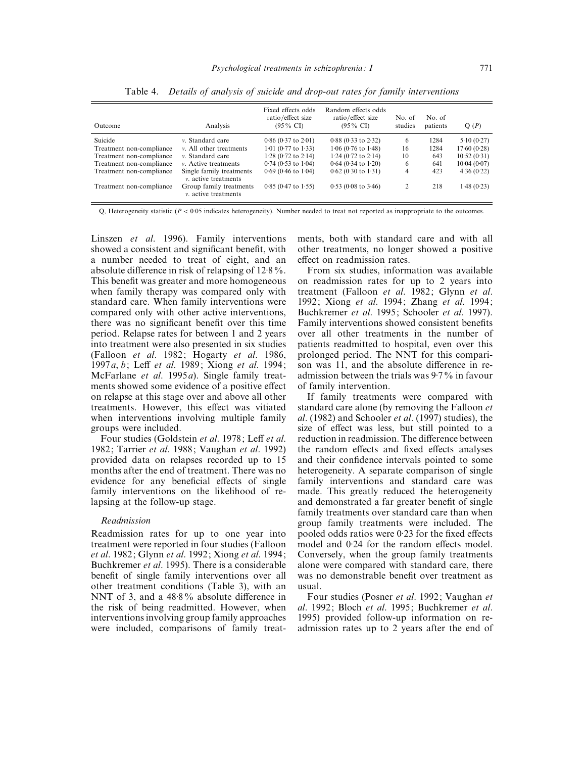| Outcome                  | Analysis                                                 | Fixed effects odds<br>ratio/effect size<br>$(95\% \text{ CI})$ | Random effects odds<br>ratio/effect size<br>$(95\% \text{ C}I)$ | No. of<br>studies | No. of<br>patients | Q(P)        |
|--------------------------|----------------------------------------------------------|----------------------------------------------------------------|-----------------------------------------------------------------|-------------------|--------------------|-------------|
| Suicide                  | v. Standard care                                         | $0.86$ (0.37 to 2.01)                                          | $0.88$ (0.33 to 2.32)                                           | 6                 | 1284               | 5.10(0.27)  |
| Treatment non-compliance | $\nu$ . All other treatments                             | $1.01$ (0.77 to $1.33$ )                                       | $1.06$ (0.76 to $1.48$ )                                        | 16                | 1284               | 17.60(0.28) |
| Treatment non-compliance | v. Standard care                                         | $1.28$ (0.72 to $2.14$ )                                       | $1.24$ (0.72 to $2.14$ )                                        | 10                | 643                | 10.52(0.31) |
| Treatment non-compliance | $\nu$ . Active treatments                                | $0.74$ (0.53 to 1.04)                                          | $0.64$ (0.34 to 1.20)                                           | 6                 | 641                | 10.04(0.07) |
| Treatment non-compliance | Single family treatments<br><i>v</i> . active treatments | $0.69$ (0.46 to 1.04)                                          | $0.62$ (0.30 to 1.31)                                           | 4                 | 423                | 4.36(0.22)  |
| Treatment non-compliance | Group family treatments<br>$\nu$ . active treatments     | $0.85$ (0.47 to 1.55)                                          | $0.53(0.08 \text{ to } 3.46)$                                   | 2                 | 218                | 1.48(0.23)  |

Table 4. *Details of analysis of suicide and drop*-*out rates for family interventions*

Q, Heterogeneity statistic ( $P < 0.05$  indicates heterogeneity). Number needed to treat not reported as inappropriate to the outcomes.

Linszen *et al*. 1996). Family interventions showed a consistent and significant benefit, with a number needed to treat of eight, and an absolute difference in risk of relapsing of 12±8%. This benefit was greater and more homogeneous when family therapy was compared only with standard care. When family interventions were compared only with other active interventions, there was no significant benefit over this time period. Relapse rates for between 1 and 2 years into treatment were also presented in six studies (Falloon *et al*. 1982; Hogarty *et al*. 1986, 1997*a*, *b*; Leff *et al*. 1989; Xiong *et al*. 1994; McFarlane *et al*. 1995*a*). Single family treatments showed some evidence of a positive effect on relapse at this stage over and above all other treatments. However, this effect was vitiated when interventions involving multiple family groups were included.

Four studies (Goldstein *et al*. 1978; Leff *et al*. 1982; Tarrier *et al*. 1988; Vaughan *et al*. 1992) provided data on relapses recorded up to 15 months after the end of treatment. There was no evidence for any beneficial effects of single family interventions on the likelihood of relapsing at the follow-up stage.

#### *Readmission*

Readmission rates for up to one year into treatment were reported in four studies (Falloon *et al*. 1982; Glynn *et al*. 1992; Xiong *et al*. 1994; Buchkremer *et al*. 1995). There is a considerable benefit of single family interventions over all other treatment conditions (Table 3), with an NNT of 3, and a 48.8% absolute difference in the risk of being readmitted. However, when interventions involving group family approaches were included, comparisons of family treatments, both with standard care and with all other treatments, no longer showed a positive effect on readmission rates.

From six studies, information was available on readmission rates for up to 2 years into treatment (Falloon *et al*. 1982; Glynn *et al*. 1992; Xiong *et al*. 1994; Zhang *et al*. 1994; Buchkremer *et al*. 1995; Schooler *et al*. 1997). Family interventions showed consistent benefits over all other treatments in the number of patients readmitted to hospital, even over this prolonged period. The NNT for this comparison was 11, and the absolute difference in readmission between the trials was  $9.7\%$  in favour of family intervention.

If family treatments were compared with standard care alone (by removing the Falloon *et al*. (1982) and Schooler *et al*. (1997) studies), the size of effect was less, but still pointed to a reduction in readmission. The difference between the random effects and fixed effects analyses and their confidence intervals pointed to some heterogeneity. A separate comparison of single family interventions and standard care was made. This greatly reduced the heterogeneity and demonstrated a far greater benefit of single family treatments over standard care than when group family treatments were included. The pooled odds ratios were  $0.23$  for the fixed effects model and 0.24 for the random effects model. Conversely, when the group family treatments alone were compared with standard care, there was no demonstrable benefit over treatment as usual.

Four studies (Posner *et al*. 1992; Vaughan *et al*. 1992; Bloch *et al*. 1995; Buchkremer *et al*. 1995) provided follow-up information on readmission rates up to 2 years after the end of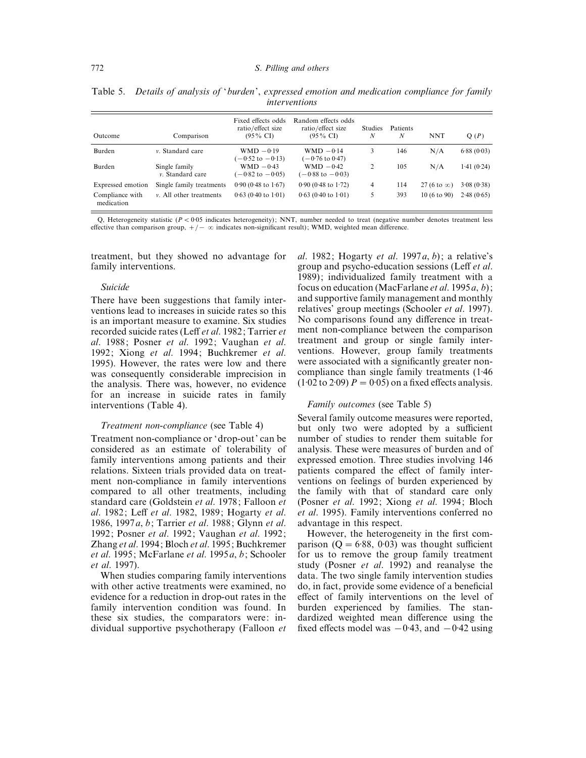| Outcome                       | Comparison                        | Fixed effects odds<br>ratio/effect size<br>$(95\% \text{ CI})$             | Random effects odds<br>ratio/effect size<br>$(95\% \text{ CI})$           | <b>Studies</b><br>N | Patients<br>N | <b>NNT</b>                 | Q(P)       |
|-------------------------------|-----------------------------------|----------------------------------------------------------------------------|---------------------------------------------------------------------------|---------------------|---------------|----------------------------|------------|
| Burden                        | v. Standard care                  | $WMD = 0.19$                                                               | $WMD = 0.14$                                                              | 3                   | 146           | N/A                        | 6.88(0.03) |
| Burden                        | Single family<br>v. Standard care | $(-0.52 \text{ to } -0.13)$<br>$WMD - 0.43$<br>$(-0.82 \text{ to } -0.05)$ | $(-0.76 \text{ to } 0.47)$<br>$WMD - 0.42$<br>$(-0.88 \text{ to } -0.03)$ | 2                   | 105           | N/A                        | 1.41(0.24) |
| Expressed emotion             | Single family treatments          | $0.90$ (0.48 to 1.67)                                                      | $0.90$ (0.48 to 1.72)                                                     | 4                   | 114           | $27(6 \text{ to } \infty)$ | 3.08(0.38) |
| Compliance with<br>medication | $\nu$ . All other treatments      | $0.63$ (0.40 to 1.01)                                                      | $0.63$ (0.40 to 1.01)                                                     | 5                   | 393           | 10(6 to 90)                | 2.48(0.65) |

Table 5. *Details of analysis of* '*burden*', *expressed emotion and medication compliance for family interventions*

Q, Heterogeneity statistic ( $P < 0.05$  indicates heterogeneity); NNT, number needed to treat (negative number denotes treatment less effective than comparison group,  $+ / - \infty$  indicates non-significant result); WMD, weighted mean difference.

treatment, but they showed no advantage for family interventions.

#### *Suicide*

There have been suggestions that family interventions lead to increases in suicide rates so this is an important measure to examine. Six studies recorded suicide rates (Leff *et al*. 1982; Tarrier *et al*. 1988; Posner *et al*. 1992; Vaughan *et al*. 1992; Xiong *et al*. 1994; Buchkremer *et al*. 1995). However, the rates were low and there was consequently considerable imprecision in the analysis. There was, however, no evidence for an increase in suicide rates in family interventions (Table 4).

#### *Treatment non*-*compliance* (see Table 4)

Treatment non-compliance or 'drop-out' can be considered as an estimate of tolerability of family interventions among patients and their relations. Sixteen trials provided data on treatment non-compliance in family interventions compared to all other treatments, including standard care (Goldstein *et al*. 1978; Falloon *et al*. 1982; Leff *et al*. 1982, 1989; Hogarty *et al*. 1986, 1997*a*, *b*; Tarrier *et al*. 1988; Glynn *et al*. 1992; Posner *et al*. 1992; Vaughan *et al*. 1992; Zhang *et al*. 1994; Bloch *et al*. 1995; Buchkremer *et al*. 1995; McFarlane *et al*. 1995*a*, *b*; Schooler *et al*. 1997).

When studies comparing family interventions with other active treatments were examined, no evidence for a reduction in drop-out rates in the family intervention condition was found. In these six studies, the comparators were: individual supportive psychotherapy (Falloon *et*

*al*. 1982; Hogarty *et al*. 1997*a*, *b*); a relative's group and psycho-education sessions (Leff *et al*. 1989); individualized family treatment with a focus on education (MacFarlane *et al*. 1995*a*, *b*); and supportive family management and monthly relatives' group meetings (Schooler *et al*. 1997). No comparisons found any difference in treatment non-compliance between the comparison treatment and group or single family interventions. However, group family treatments were associated with a significantly greater noncompliance than single family treatments  $(1.46$  $(1.02 \text{ to } 2.09) P = 0.05$  on a fixed effects analysis.

#### *Family outcomes* (see Table 5)

Several family outcome measures were reported, but only two were adopted by a sufficient number of studies to render them suitable for analysis. These were measures of burden and of expressed emotion. Three studies involving 146 patients compared the effect of family interventions on feelings of burden experienced by the family with that of standard care only (Posner *et al*. 1992; Xiong *et al*. 1994; Bloch *et al*. 1995). Family interventions conferred no advantage in this respect.

However, the heterogeneity in the first comparison ( $Q = 6.88$ , 0.03) was thought sufficient for us to remove the group family treatment study (Posner *et al*. 1992) and reanalyse the data. The two single family intervention studies do, in fact, provide some evidence of a beneficial effect of family interventions on the level of burden experienced by families. The standardized weighted mean difference using the fixed effects model was  $-0.43$ , and  $-0.42$  using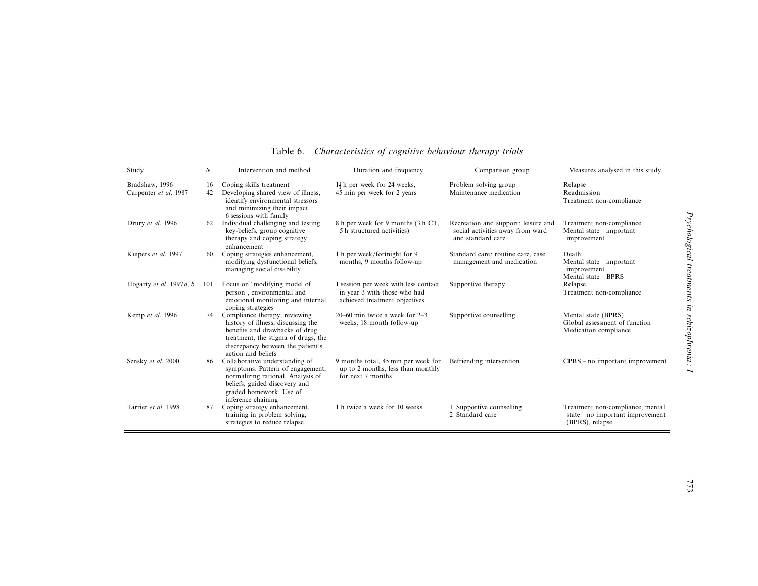| Study                                   | $\boldsymbol{N}$ | Intervention and method                                                                                                                                                                                 | Duration and frequency                                                                                | Comparison group                                                                             | Measures analysed in this study                                                           |
|-----------------------------------------|------------------|---------------------------------------------------------------------------------------------------------------------------------------------------------------------------------------------------------|-------------------------------------------------------------------------------------------------------|----------------------------------------------------------------------------------------------|-------------------------------------------------------------------------------------------|
| Bradshaw, 1996<br>Carpenter et al. 1987 | 16<br>42         | Coping skills treatment<br>Developing shared view of illness,<br>identify environmental stressors<br>and minimizing their impact,<br>6 sessions with family                                             | $1\frac{1}{2}$ h per week for 24 weeks,<br>45 min per week for 2 years                                | Problem solving group<br>Maintenance medication                                              | Relapse<br>Readmission<br>Treatment non-compliance                                        |
| Drury et al. 1996                       | 62               | Individual challenging and testing<br>key-beliefs, group cognitive<br>therapy and coping strategy<br>enhancement                                                                                        | 8 h per week for 9 months (3 h CT,<br>5 h structured activities)                                      | Recreation and support: leisure and<br>social activities away from ward<br>and standard care | Treatment non-compliance<br>Mental state $-$ important<br>improvement                     |
| Kuipers et al. 1997                     | 60               | Coping strategies enhancement,<br>modifying dysfunctional beliefs,<br>managing social disability                                                                                                        | 1 h per week/fortnight for 9<br>months, 9 months follow-up                                            | Standard care: routine care, case<br>management and medication                               | Death<br>Mental state $-$ important<br>improvement<br>Mental state - BPRS                 |
| Hogarty et al. 1997 a, b                | 101              | Focus on 'modifying model of<br>person', environmental and<br>emotional monitoring and internal<br>coping strategies                                                                                    | 1 session per week with less contact<br>in year 3 with those who had<br>achieved treatment objectives | Supportive therapy                                                                           | Relapse<br>Treatment non-compliance                                                       |
| Kemp et al. 1996                        | 74               | Compliance therapy, reviewing<br>history of illness, discussing the<br>benefits and drawbacks of drug<br>treatment, the stigma of drugs, the<br>discrepancy between the patient's<br>action and beliefs | $20-60$ min twice a week for $2-3$<br>weeks, 18 month follow-up                                       | Supportive counselling                                                                       | Mental state (BPRS)<br>Global assessment of function<br>Medication compliance             |
| Sensky et al. 2000                      | 86               | Collaborative understanding of<br>symptoms. Pattern of engagement,<br>normalizing rational. Analysis of<br>beliefs, guided discovery and<br>graded homework. Use of<br>inference chaining               | 9 months total, 45 min per week for<br>up to 2 months, less than monthly<br>for next 7 months         | Befriending intervention                                                                     | $CPRS - no important improvement$                                                         |
| Tarrier et al. 1998                     | 87               | Coping strategy enhancement,<br>training in problem solving,<br>strategies to reduce relapse                                                                                                            | 1 h twice a week for 10 weeks                                                                         | 1 Supportive counselling<br>2 Standard care                                                  | Treatment non-compliance, mental<br>state $-$ no important improvement<br>(BPRS), relapse |

## Table 6. *Characteristics of cognitive behaviour therapy trials*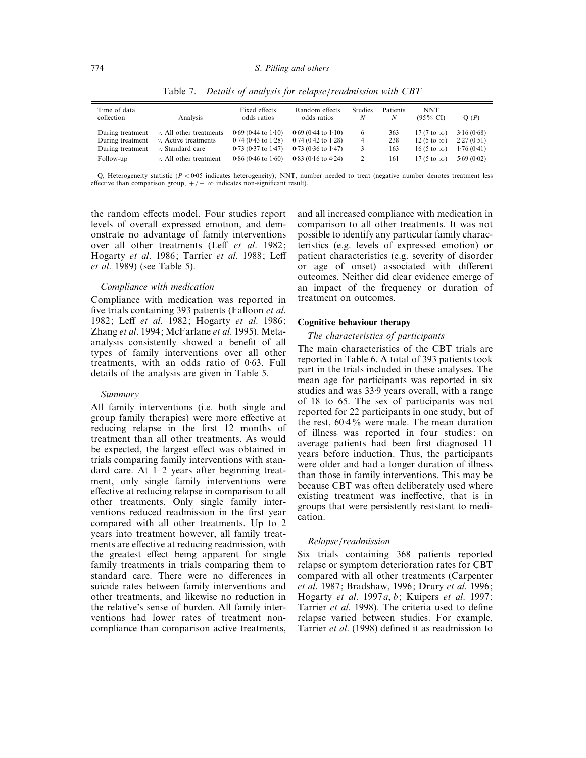| Time of data<br>collection           | Analysis                                                     | Fixed effects<br>odds ratios                   | Random effects<br>odds ratios                  | <b>Studies</b><br>N | Patients<br>N | NNT<br>$(95\% \text{ CI})$                 | O(P)                     |
|--------------------------------------|--------------------------------------------------------------|------------------------------------------------|------------------------------------------------|---------------------|---------------|--------------------------------------------|--------------------------|
| During treatment<br>During treatment | $\nu$ . All other treatments<br><i>v</i> . Active treatments | $0.69$ (0.44 to 1.10)<br>$0.74$ (0.43 to 1.28) | $0.69$ (0.44 to 1.10)<br>$0.74$ (0.42 to 1.28) | 6<br>4              | 363<br>238    | 17 (7 to $\infty$ )<br>12 (5 to $\infty$ ) | 3.16(0.68)<br>2.27(0.51) |
| During treatment                     | v. Standard care                                             | $0.73$ (0.37 to 1.47)                          | $0.73$ (0.36 to 1.47)                          |                     | 163           | $16(5 \text{ to } \infty)$                 | 1.76(0.41)               |
| Follow-up                            | $\nu$ . All other treatment                                  | $0.86$ (0.46 to 1.60)                          | $0.83(0.16 \text{ to } 4.24)$                  |                     | 161           | 17 (5 to $\infty$ )                        | 5.69(0.02)               |

Table 7. *Details of analysis for relapse*}*readmission with CBT*

Q, Heterogeneity statistic  $(P < 0.05$  indicates heterogeneity); NNT, number needed to treat (negative number denotes treatment less effective than comparison group,  $+/- \infty$  indicates non-significant result).

the random effects model. Four studies report levels of overall expressed emotion, and demonstrate no advantage of family interventions over all other treatments (Leff *et al*. 1982; Hogarty *et al*. 1986; Tarrier *et al*. 1988; Leff *et al*. 1989) (see Table 5).

#### *Compliance with medication*

Compliance with medication was reported in five trials containing 393 patients (Falloon *et al*. 1982; Leff *et al*. 1982; Hogarty *et al*. 1986; Zhang *et al*. 1994; McFarlane *et al*. 1995). Metaanalysis consistently showed a benefit of all types of family interventions over all other treatments, with an odds ratio of 0.63. Full details of the analysis are given in Table 5.

#### *Summary*

All family interventions (i.e. both single and group family therapies) were more effective at reducing relapse in the first 12 months of treatment than all other treatments. As would be expected, the largest effect was obtained in trials comparing family interventions with standard care. At 1–2 years after beginning treatment, only single family interventions were effective at reducing relapse in comparison to all other treatments. Only single family interventions reduced readmission in the first year compared with all other treatments. Up to 2 years into treatment however, all family treatments are effective at reducing readmission, with the greatest effect being apparent for single family treatments in trials comparing them to standard care. There were no differences in suicide rates between family interventions and other treatments, and likewise no reduction in the relative's sense of burden. All family interventions had lower rates of treatment noncompliance than comparison active treatments,

and all increased compliance with medication in comparison to all other treatments. It was not possible to identify any particular family characteristics (e.g. levels of expressed emotion) or patient characteristics (e.g. severity of disorder or age of onset) associated with different outcomes. Neither did clear evidence emerge of an impact of the frequency or duration of treatment on outcomes.

#### **Cognitive behaviour therapy**

# *The characteristics of participants*

The main characteristics of the CBT trials are reported in Table 6. A total of 393 patients took part in the trials included in these analyses. The mean age for participants was reported in six studies and was 33.9 years overall, with a range of 18 to 65. The sex of participants was not reported for 22 participants in one study, but of the rest,  $60.4\%$  were male. The mean duration of illness was reported in four studies: on average patients had been first diagnosed 11 years before induction. Thus, the participants were older and had a longer duration of illness than those in family interventions. This may be because CBT was often deliberately used where existing treatment was ineffective, that is in groups that were persistently resistant to medication.

#### *Relapse*}*readmission*

Six trials containing 368 patients reported relapse or symptom deterioration rates for CBT compared with all other treatments (Carpenter *et al*. 1987; Bradshaw, 1996; Drury *et al*. 1996; Hogarty *et al*. 1997*a*, *b*; Kuipers *et al*. 1997; Tarrier *et al*. 1998). The criteria used to define relapse varied between studies. For example, Tarrier *et al*. (1998) defined it as readmission to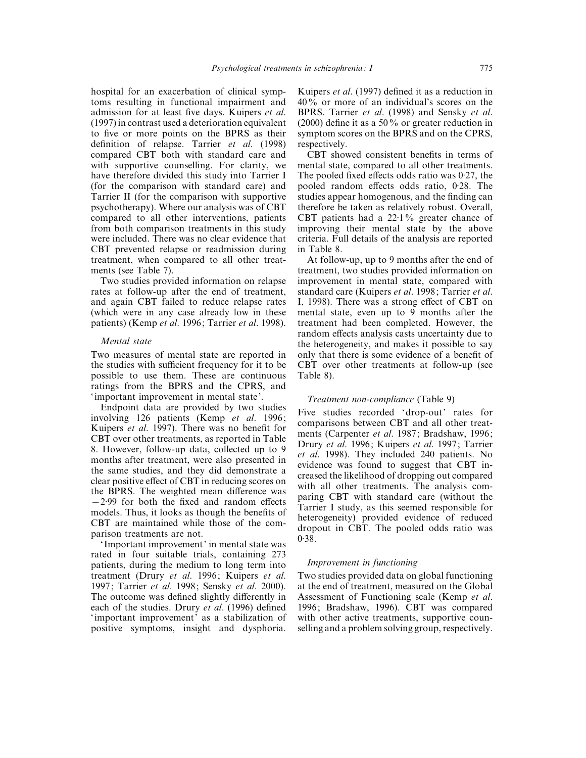hospital for an exacerbation of clinical symptoms resulting in functional impairment and admission for at least five days. Kuipers *et al*. (1997) in contrast used a deterioration equivalent to five or more points on the BPRS as their definition of relapse. Tarrier *et al*. (1998) compared CBT both with standard care and with supportive counselling. For clarity, we have therefore divided this study into Tarrier I (for the comparison with standard care) and Tarrier II (for the comparison with supportive psychotherapy). Where our analysis was of CBT compared to all other interventions, patients from both comparison treatments in this study were included. There was no clear evidence that CBT prevented relapse or readmission during treatment, when compared to all other treatments (see Table 7).

Two studies provided information on relapse rates at follow-up after the end of treatment, and again CBT failed to reduce relapse rates (which were in any case already low in these patients) (Kemp *et al*. 1996; Tarrier *et al*. 1998).

#### *Mental state*

Two measures of mental state are reported in the studies with sufficient frequency for it to be possible to use them. These are continuous ratings from the BPRS and the CPRS, and 'important improvement in mental state'.

Endpoint data are provided by two studies involving 126 patients (Kemp *et al*. 1996; Kuipers *et al*. 1997). There was no benefit for CBT over other treatments, as reported in Table 8. However, follow-up data, collected up to 9 months after treatment, were also presented in the same studies, and they did demonstrate a clear positive effect of CBT in reducing scores on the BPRS. The weighted mean difference was  $-2.99$  for both the fixed and random effects models. Thus, it looks as though the benefits of CBT are maintained while those of the comparison treatments are not.

' Important improvement' in mental state was rated in four suitable trials, containing 273 patients, during the medium to long term into treatment (Drury *et al*. 1996; Kuipers *et al*. 1997; Tarrier *et al*. 1998; Sensky *et al*. 2000). The outcome was defined slightly differently in each of the studies. Drury *et al*. (1996) defined 'important improvement' as a stabilization of positive symptoms, insight and dysphoria.

Kuipers *et al*. (1997) defined it as a reduction in 40% or more of an individual's scores on the BPRS. Tarrier *et al*. (1998) and Sensky *et al*. (2000) define it as a 50% or greater reduction in symptom scores on the BPRS and on the CPRS, respectively.

CBT showed consistent benefits in terms of mental state, compared to all other treatments. The pooled fixed effects odds ratio was  $0.27$ , the pooled random effects odds ratio, 0±28. The studies appear homogenous, and the finding can therefore be taken as relatively robust. Overall, CBT patients had a  $22.1\%$  greater chance of improving their mental state by the above criteria. Full details of the analysis are reported in Table 8.

At follow-up, up to 9 months after the end of treatment, two studies provided information on improvement in mental state, compared with standard care (Kuipers *et al*. 1998; Tarrier *et al*. I, 1998). There was a strong effect of CBT on mental state, even up to 9 months after the treatment had been completed. However, the random effects analysis casts uncertainty due to the heterogeneity, and makes it possible to say only that there is some evidence of a benefit of CBT over other treatments at follow-up (see Table 8).

## *Treatment non*-*compliance* (Table 9)

Five studies recorded 'drop-out' rates for comparisons between CBT and all other treatments (Carpenter *et al*. 1987; Bradshaw, 1996; Drury *et al*. 1996; Kuipers *et al*. 1997; Tarrier *et al*. 1998). They included 240 patients. No evidence was found to suggest that CBT increased the likelihood of dropping out compared with all other treatments. The analysis comparing CBT with standard care (without the Tarrier I study, as this seemed responsible for heterogeneity) provided evidence of reduced dropout in CBT. The pooled odds ratio was  $0.38.$ 

#### *Improvement in functioning*

Two studies provided data on global functioning at the end of treatment, measured on the Global Assessment of Functioning scale (Kemp *et al*. 1996; Bradshaw, 1996). CBT was compared with other active treatments, supportive counselling and a problem solving group, respectively.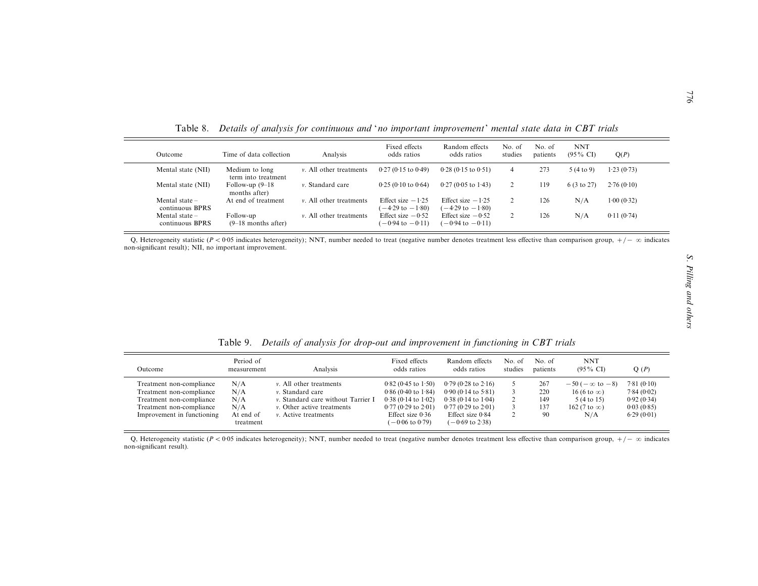|  | U.               |
|--|------------------|
|  |                  |
|  |                  |
|  |                  |
|  |                  |
|  | any <sub>s</sub> |
|  |                  |
|  | ╮<br>۴           |

| Outcome                           | Time of data collection                                                                                                                                                                                                                                  | Analysis                        | Fixed effects<br>odds ratios                       | Random effects<br>odds ratios                      | No. of<br>studies | No. of<br>patients | <b>NNT</b><br>$(95\% \text{ CI})$ | Q(P)       |
|-----------------------------------|----------------------------------------------------------------------------------------------------------------------------------------------------------------------------------------------------------------------------------------------------------|---------------------------------|----------------------------------------------------|----------------------------------------------------|-------------------|--------------------|-----------------------------------|------------|
| Mental state (NII)                | Medium to long<br>term into treatment                                                                                                                                                                                                                    | v. All other treatments         | $0.27(0.15 \text{ to } 0.49)$                      | $0.28$ (0.15 to 0.51)                              | 4                 | 273                | 5(4 to 9)                         | 1.23(0.73) |
| Mental state (NII)                | Follow-up $(9-18)$<br>months after)                                                                                                                                                                                                                      | v. Standard care                | $0.25(0.10 \text{ to } 0.64)$                      | $0.27(0.05 \text{ to } 1.43)$                      | 2                 | 119                | 6 (3 to 27)                       | 2.76(0.10) |
| Mental state -<br>continuous BPRS | At end of treatment                                                                                                                                                                                                                                      | $\nu$ . All other treatments    | Effect size $-1.25$<br>$(-4.29 \text{ to } -1.80)$ | Effect size $-1.25$<br>$(-4.29 \text{ to } -1.80)$ | 2                 | 126                | N/A                               | 1.00(0.32) |
| Mental state -<br>continuous BPRS | Follow-up<br>$(9-18$ months after)                                                                                                                                                                                                                       | <i>v</i> . All other treatments | Effect size $-0.52$<br>$(-0.94 \text{ to } -0.11)$ | Effect size $-0.52$<br>$(-0.94 \text{ to } -0.11)$ | 2                 | 126                | N/A                               | 0.11(0.74) |
|                                   |                                                                                                                                                                                                                                                          |                                 |                                                    |                                                    |                   |                    |                                   |            |
|                                   | Q, Heterogeneity statistic ( $P < 0.05$ indicates heterogeneity); NNT, number needed to treat (negative number denotes treatment less effective than comparison group, $+/- \infty$ indicates<br>non-significant result); NII, no important improvement. |                                 |                                                    |                                                    |                   |                    |                                   |            |
|                                   |                                                                                                                                                                                                                                                          |                                 |                                                    |                                                    |                   |                    |                                   |            |
|                                   |                                                                                                                                                                                                                                                          |                                 |                                                    |                                                    |                   |                    |                                   |            |

Table 9. Details of analysis for drop-out and improvement in functioning in CBT trials

| <b>Outcome</b>             | Period of<br>measurement | Analysis                           | Fixed effects<br>odds ratios  | Random effects<br>odds ratios | No. of<br>studies | No. of<br>patients | <b>NNT</b><br>$(95\% \text{ CI})$ | Q(P)       |
|----------------------------|--------------------------|------------------------------------|-------------------------------|-------------------------------|-------------------|--------------------|-----------------------------------|------------|
| Treatment non-compliance   | N/A                      | $\nu$ . All other treatments       | $0.82$ (0.45 to 1.50)         | $0.79(0.28 \text{ to } 2.16)$ |                   | 267                | $-50$ ( $-\infty$ to $-8$ )       | 7.81(0.10) |
| Treatment non-compliance   | N/A                      | v. Standard care                   | $0.86$ (0.40 to 1.84)         | $0.90$ (0.14 to 5.81)         |                   | 220                | $16(6 \text{ to } \infty)$        | 7.84(0.02) |
| Treatment non-compliance   | N/A                      | v. Standard care without Tarrier I | $0.38$ (0.14 to 1.02)         | $0.38$ (0.14 to 1.04)         |                   | 149                | 5 (4 to 15)                       | 0.92(0.34) |
| Treatment non-compliance   | N/A                      | <i>v</i> . Other active treatments | $0.77(0.29 \text{ to } 2.01)$ | $0.77(0.29 \text{ to } 2.01)$ |                   | 137                | $162(7 \text{ to } \infty)$       | 0.03(0.85) |
| Improvement in functioning | At end of                | <i>v</i> . Active treatments       | Effect size $0.36$            | Effect size $0.84$            |                   | 90                 | N/A                               | 6.29(0.01) |
|                            | treatment                |                                    | $(-0.06 \text{ to } 0.79)$    | $(-0.69 \text{ to } 2.38)$    |                   |                    |                                   |            |

Q, Heterogeneity statistic ( $P < 0.05$  indicates heterogeneity); NNT, number needed to treat (negative number denotes treatment less effective than comparison group,  $+/- \infty$  indicates non-significant result).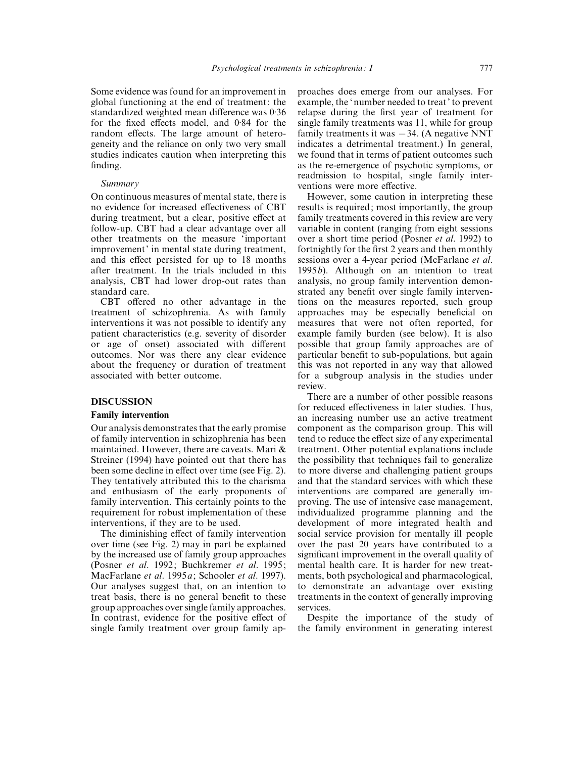Some evidence was found for an improvement in global functioning at the end of treatment: the standardized weighted mean difference was 0.36 for the fixed effects model, and 0.84 for the random effects. The large amount of heterogeneity and the reliance on only two very small studies indicates caution when interpreting this finding.

#### *Summary*

On continuous measures of mental state, there is no evidence for increased effectiveness of CBT during treatment, but a clear, positive effect at follow-up. CBT had a clear advantage over all other treatments on the measure 'important improvement' in mental state during treatment, and this effect persisted for up to 18 months after treatment. In the trials included in this analysis, CBT had lower drop-out rates than standard care.

CBT offered no other advantage in the treatment of schizophrenia. As with family interventions it was not possible to identify any patient characteristics (e.g. severity of disorder or age of onset) associated with different outcomes. Nor was there any clear evidence about the frequency or duration of treatment associated with better outcome.

#### **DISCUSSION**

# **Family intervention**

Our analysis demonstrates that the early promise of family intervention in schizophrenia has been maintained. However, there are caveats. Mari & Streiner (1994) have pointed out that there has been some decline in effect over time (see Fig. 2). They tentatively attributed this to the charisma and enthusiasm of the early proponents of family intervention. This certainly points to the requirement for robust implementation of these interventions, if they are to be used.

The diminishing effect of family intervention over time (see Fig. 2) may in part be explained by the increased use of family group approaches (Posner *et al*. 1992; Buchkremer *et al*. 1995; MacFarlane *et al*. 1995*a*; Schooler *et al*. 1997). Our analyses suggest that, on an intention to treat basis, there is no general benefit to these group approaches over single family approaches. In contrast, evidence for the positive effect of single family treatment over group family ap-

proaches does emerge from our analyses. For example, the 'number needed to treat' to prevent relapse during the first year of treatment for single family treatments was 11, while for group family treatments it was  $-34$ . (A negative NNT indicates a detrimental treatment.) In general, we found that in terms of patient outcomes such as the re-emergence of psychotic symptoms, or readmission to hospital, single family interventions were more effective.

However, some caution in interpreting these results is required; most importantly, the group family treatments covered in this review are very variable in content (ranging from eight sessions over a short time period (Posner *et al*. 1992) to fortnightly for the first 2 years and then monthly sessions over a 4-year period (McFarlane *et al*. 1995*b*). Although on an intention to treat analysis, no group family intervention demonstrated any benefit over single family interventions on the measures reported, such group approaches may be especially beneficial on measures that were not often reported, for example family burden (see below). It is also possible that group family approaches are of particular benefit to sub-populations, but again this was not reported in any way that allowed for a subgroup analysis in the studies under review.

There are a number of other possible reasons for reduced effectiveness in later studies. Thus, an increasing number use an active treatment component as the comparison group. This will tend to reduce the effect size of any experimental treatment. Other potential explanations include the possibility that techniques fail to generalize to more diverse and challenging patient groups and that the standard services with which these interventions are compared are generally improving. The use of intensive case management, individualized programme planning and the development of more integrated health and social service provision for mentally ill people over the past 20 years have contributed to a significant improvement in the overall quality of mental health care. It is harder for new treatments, both psychological and pharmacological, to demonstrate an advantage over existing treatments in the context of generally improving services.

Despite the importance of the study of the family environment in generating interest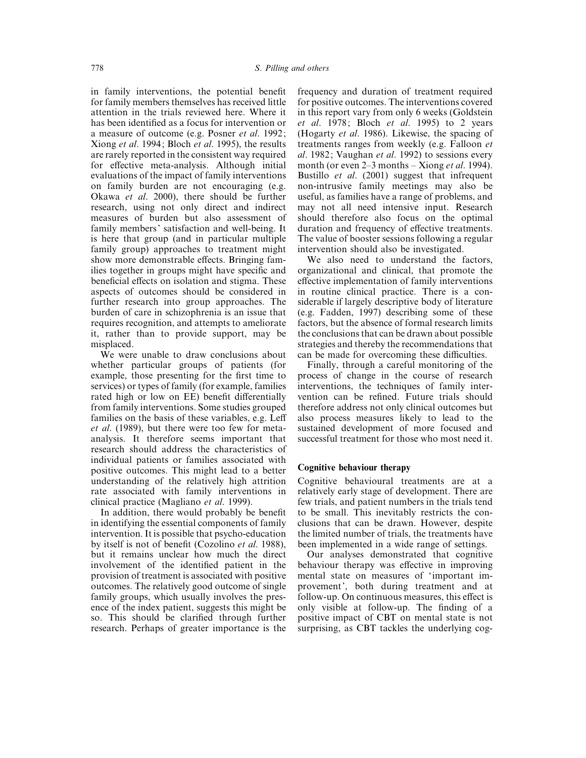in family interventions, the potential benefit for family members themselves has received little attention in the trials reviewed here. Where it has been identified as a focus for intervention or a measure of outcome (e.g. Posner *et al*. 1992; Xiong *et al*. 1994; Bloch *et al*. 1995), the results are rarely reported in the consistent way required for effective meta-analysis. Although initial evaluations of the impact of family interventions on family burden are not encouraging (e.g. Okawa *et al*. 2000), there should be further research, using not only direct and indirect measures of burden but also assessment of family members' satisfaction and well-being. It is here that group (and in particular multiple family group) approaches to treatment might show more demonstrable effects. Bringing families together in groups might have specific and beneficial effects on isolation and stigma. These aspects of outcomes should be considered in further research into group approaches. The burden of care in schizophrenia is an issue that requires recognition, and attempts to ameliorate it, rather than to provide support, may be misplaced.

We were unable to draw conclusions about whether particular groups of patients (for example, those presenting for the first time to services) or types of family (for example, families rated high or low on EE) benefit differentially from family interventions. Some studies grouped families on the basis of these variables, e.g. Leff *et al*. (1989), but there were too few for metaanalysis. It therefore seems important that research should address the characteristics of individual patients or families associated with positive outcomes. This might lead to a better understanding of the relatively high attrition rate associated with family interventions in clinical practice (Magliano *et al*. 1999).

In addition, there would probably be benefit in identifying the essential components of family intervention. It is possible that psycho-education by itself is not of benefit (Cozolino *et al*. 1988), but it remains unclear how much the direct involvement of the identified patient in the provision of treatment is associated with positive outcomes. The relatively good outcome of single family groups, which usually involves the presence of the index patient, suggests this might be so. This should be clarified through further research. Perhaps of greater importance is the

frequency and duration of treatment required for positive outcomes. The interventions covered in this report vary from only 6 weeks (Goldstein *et al*. 1978; Bloch *et al*. 1995) to 2 years (Hogarty *et al*. 1986). Likewise, the spacing of treatments ranges from weekly (e.g. Falloon *et al*. 1982; Vaughan *et al*. 1992) to sessions every month (or even 2–3 months – Xiong *et al*. 1994). Bustillo *et al*. (2001) suggest that infrequent non-intrusive family meetings may also be useful, as families have a range of problems, and may not all need intensive input. Research should therefore also focus on the optimal duration and frequency of effective treatments. The value of booster sessions following a regular intervention should also be investigated.

We also need to understand the factors, organizational and clinical, that promote the effective implementation of family interventions in routine clinical practice. There is a considerable if largely descriptive body of literature (e.g. Fadden, 1997) describing some of these factors, but the absence of formal research limits the conclusions that can be drawn about possible strategies and thereby the recommendations that can be made for overcoming these difficulties.

Finally, through a careful monitoring of the process of change in the course of research interventions, the techniques of family intervention can be refined. Future trials should therefore address not only clinical outcomes but also process measures likely to lead to the sustained development of more focused and successful treatment for those who most need it.

## **Cognitive behaviour therapy**

Cognitive behavioural treatments are at a relatively early stage of development. There are few trials, and patient numbers in the trials tend to be small. This inevitably restricts the conclusions that can be drawn. However, despite the limited number of trials, the treatments have been implemented in a wide range of settings.

Our analyses demonstrated that cognitive behaviour therapy was effective in improving mental state on measures of 'important improvement', both during treatment and at follow-up. On continuous measures, this effect is only visible at follow-up. The finding of a positive impact of CBT on mental state is not surprising, as CBT tackles the underlying cog-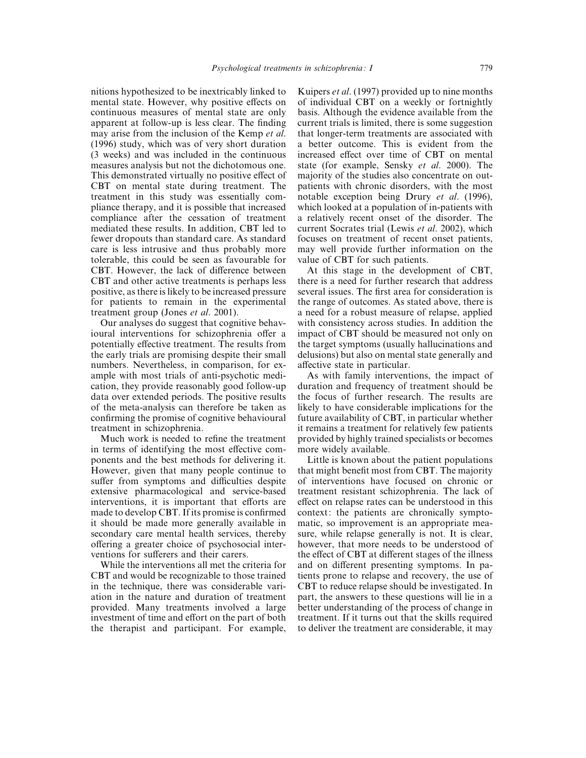nitions hypothesized to be inextricably linked to mental state. However, why positive effects on continuous measures of mental state are only apparent at follow-up is less clear. The finding may arise from the inclusion of the Kemp *et al*. (1996) study, which was of very short duration (3 weeks) and was included in the continuous measures analysis but not the dichotomous one. This demonstrated virtually no positive effect of CBT on mental state during treatment. The treatment in this study was essentially compliance therapy, and it is possible that increased compliance after the cessation of treatment mediated these results. In addition, CBT led to fewer dropouts than standard care. As standard care is less intrusive and thus probably more tolerable, this could be seen as favourable for CBT. However, the lack of difference between CBT and other active treatments is perhaps less positive, as there is likely to be increased pressure for patients to remain in the experimental treatment group (Jones *et al*. 2001).

Our analyses do suggest that cognitive behavioural interventions for schizophrenia offer a potentially effective treatment. The results from the early trials are promising despite their small numbers. Nevertheless, in comparison, for example with most trials of anti-psychotic medication, they provide reasonably good follow-up data over extended periods. The positive results of the meta-analysis can therefore be taken as confirming the promise of cognitive behavioural treatment in schizophrenia.

Much work is needed to refine the treatment in terms of identifying the most effective components and the best methods for delivering it. However, given that many people continue to suffer from symptoms and difficulties despite extensive pharmacological and service-based interventions, it is important that efforts are made to develop CBT. If its promise is confirmed it should be made more generally available in secondary care mental health services, thereby offering a greater choice of psychosocial interventions for sufferers and their carers.

While the interventions all met the criteria for CBT and would be recognizable to those trained in the technique, there was considerable variation in the nature and duration of treatment provided. Many treatments involved a large investment of time and effort on the part of both the therapist and participant. For example,

Kuipers *et al*. (1997) provided up to nine months of individual CBT on a weekly or fortnightly basis. Although the evidence available from the current trials is limited, there is some suggestion that longer-term treatments are associated with a better outcome. This is evident from the increased effect over time of CBT on mental state (for example, Sensky *et al*. 2000). The majority of the studies also concentrate on outpatients with chronic disorders, with the most notable exception being Drury *et al*. (1996), which looked at a population of in-patients with a relatively recent onset of the disorder. The current Socrates trial (Lewis *et al*. 2002), which focuses on treatment of recent onset patients, may well provide further information on the value of CBT for such patients.

At this stage in the development of CBT, there is a need for further research that address several issues. The first area for consideration is the range of outcomes. As stated above, there is a need for a robust measure of relapse, applied with consistency across studies. In addition the impact of CBT should be measured not only on the target symptoms (usually hallucinations and delusions) but also on mental state generally and affective state in particular.

As with family interventions, the impact of duration and frequency of treatment should be the focus of further research. The results are likely to have considerable implications for the future availability of CBT, in particular whether it remains a treatment for relatively few patients provided by highly trained specialists or becomes more widely available.

Little is known about the patient populations that might benefit most from CBT. The majority of interventions have focused on chronic or treatment resistant schizophrenia. The lack of effect on relapse rates can be understood in this context: the patients are chronically symptomatic, so improvement is an appropriate measure, while relapse generally is not. It is clear, however, that more needs to be understood of the effect of CBT at different stages of the illness and on different presenting symptoms. In patients prone to relapse and recovery, the use of CBT to reduce relapse should be investigated. In part, the answers to these questions will lie in a better understanding of the process of change in treatment. If it turns out that the skills required to deliver the treatment are considerable, it may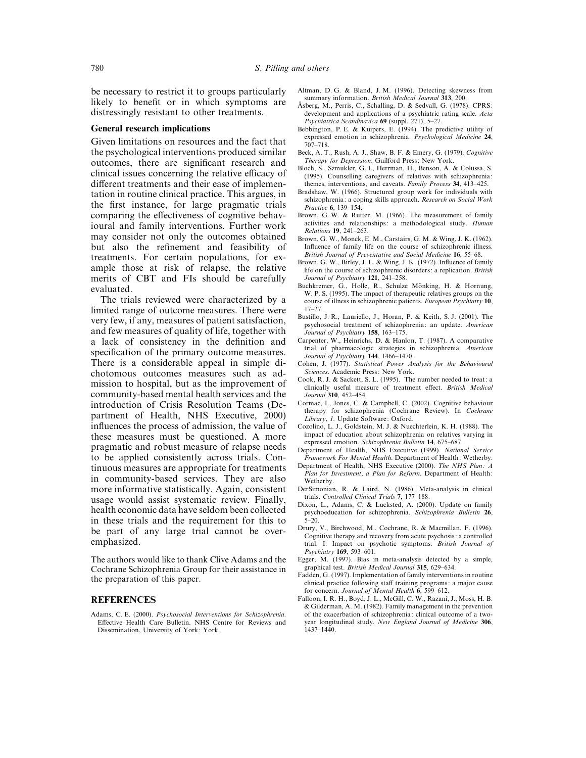be necessary to restrict it to groups particularly likely to benefit or in which symptoms are distressingly resistant to other treatments.

#### **General research implications**

Given limitations on resources and the fact that the psychological interventions produced similar outcomes, there are significant research and clinical issues concerning the relative efficacy of different treatments and their ease of implementation in routine clinical practice. This argues, in the first instance, for large pragmatic trials comparing the effectiveness of cognitive behavioural and family interventions. Further work may consider not only the outcomes obtained but also the refinement and feasibility of treatments. For certain populations, for example those at risk of relapse, the relative merits of CBT and FIs should be carefully evaluated.

The trials reviewed were characterized by a limited range of outcome measures. There were very few, if any, measures of patient satisfaction, and few measures of quality of life, together with a lack of consistency in the definition and specification of the primary outcome measures. There is a considerable appeal in simple dichotomous outcomes measures such as admission to hospital, but as the improvement of community-based mental health services and the introduction of Crisis Resolution Teams (Department of Health, NHS Executive, 2000) influences the process of admission, the value of these measures must be questioned. A more pragmatic and robust measure of relapse needs to be applied consistently across trials. Continuous measures are appropriate for treatments in community-based services. They are also more informative statistically. Again, consistent usage would assist systematic review. Finally, health economic data have seldom been collected in these trials and the requirement for this to be part of any large trial cannot be overemphasized.

The authors would like to thank Clive Adams and the Cochrane Schizophrenia Group for their assistance in the preparation of this paper.

# **REFERENCES**

Adams, C. E. (2000). *Psychosocial Interventions for Schizophrenia*. Effective Health Care Bulletin. NHS Centre for Reviews and Dissemination, University of York: York.

- Altman, D. G. & Bland, J. M. (1996). Detecting skewness from summary information. *British Medical Journal* **313**, 200.
- Åsberg, M., Perris, C., Schalling, D. & Sedvall, G. (1978). CPRS: development and applications of a psychiatric rating scale. *Acta Psychiatrica Scandinavica* **69** (suppl. 271), 5–27.
- Bebbington, P. E. & Kuipers, E. (1994). The predictive utility of expressed emotion in schizophrenia. *Psychological Medicine* **24**, 707–718.
- Beck, A. T., Rush, A. J., Shaw, B. F. & Emery, G. (1979). *Cognitive Therapy for Depression*. Guilford Press: New York.
- Bloch, S., Szmukler, G. I., Herrman, H., Benson, A. & Colussa, S. (1995). Counselling caregivers of relatives with schizophrenia: themes, interventions, and caveats. *Family Process* **34**, 413–425.
- Bradshaw, W. (1966). Structured group work for individuals with schizophrenia: a coping skills approach. *Research on Social Work Practice* **6**, 139–154.
- Brown, G. W. & Rutter, M. (1966). The measurement of family activities and relationships: a methodological study. *Human Relations* **19**, 241–263.
- Brown, G. W., Monck, E. M., Carstairs, G. M. & Wing, J. K. (1962). Influence of family life on the course of schizophrenic illness. *British Journal of Preventative and Social Medicine* **16**, 55–68.
- Brown, G. W., Birley, J. L. & Wing, J. K. (1972). Influence of family life on the course of schizophrenic disorders: a replication. *British Journal of Psychiatry* **121**, 241–258.
- Buchkremer, G., Holle, R., Schulze Mönking, H. & Hornung, W. P. S. (1995). The impact of therapeutic relatives groups on the course of illness in schizophrenic patients. *European Psychiatry* **10**, 17–27.
- Bustillo, J. R., Lauriello, J., Horan, P. & Keith, S. J. (2001). The psychosocial treatment of schizophrenia: an update. *American Journal of Psychiatry* **158**, 163–175.
- Carpenter, W., Heinrichs, D. & Hanlon, T. (1987). A comparative trial of pharmacologic strategies in schizophrenia. *American Journal of Psychiatry* **144**, 1466–1470.
- Cohen, J. (1977). *Statistical Power Analysis for the Behavioural Sciences*. Academic Press: New York.
- Cook, R. J. & Sackett, S. L. (1995). The number needed to treat: a clinically useful measure of treatment effect. *British Medical Journal* **310**, 452–454.
- Cormac, I., Jones, C. & Campbell, C. (2002). Cognitive behaviour therapy for schizophrenia (Cochrane Review). In *Cochrane Library*, *1*. Update Software: Oxford.
- Cozolino, L. J., Goldstein, M. J. & Nuechterlein, K. H. (1988). The impact of education about schizophrenia on relatives varying in expressed emotion. *Schizophrenia Bulletin* **14**, 675–687.
- Department of Health, NHS Executive (1999). *National Service Framework For Mental Health*. Department of Health: Wetherby.
- Department of Health, NHS Executive (2000). *The NHS Plan : A Plan for Investment*, *a Plan for Reform*. Department of Health: Wetherby.
- DerSimonian, R. & Laird, N. (1986). Meta-analysis in clinical trials. *Controlled Clinical Trials* **7**, 177–188.
- Dixon, L., Adams, C. & Lucksted, A. (2000). Update on family psychoeducation for schizophrenia. *Schizophrenia Bulletin* **26**,  $5 - 20$ .
- Drury, V., Birchwood, M., Cochrane, R. & Macmillan, F. (1996). Cognitive therapy and recovery from acute psychosis: a controlled trial. I. Impact on psychotic symptoms. *British Journal of Psychiatry* **169**, 593–601.
- Egger, M. (1997). Bias in meta-analysis detected by a simple, graphical test. *British Medical Journal* **315**, 629–634.
- Fadden, G. (1997). Implementation of family interventions in routine clinical practice following staff training programs: a major cause for concern. *Journal of Mental Health* **6**, 599–612.
- Falloon, I. R. H., Boyd, J. L., McGill, C. W., Razani, J., Moss, H. B. & Gilderman, A. M. (1982). Family management in the prevention of the exacerbation of schizophrenia: clinical outcome of a twoyear longitudinal study. *New England Journal of Medicine* **306**, 1437–1440.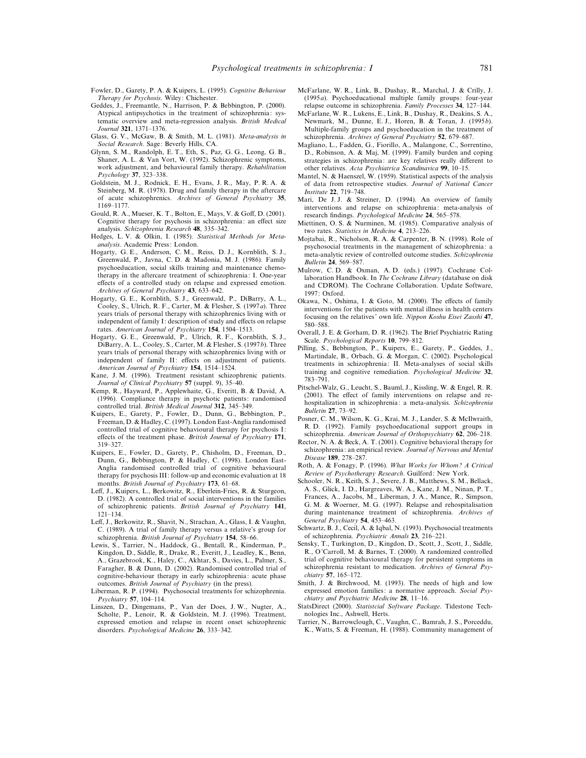- Fowler, D., Garety, P. A. & Kuipers, L. (1995). *Cognitive Behaviour Therapy for Psychosis*. Wiley: Chichester.
- Geddes, J., Freemantle, N., Harrison, P. & Bebbington, P. (2000). Atypical antipsychotics in the treatment of schizophrenia: systematic overview and meta-regression analysis. *British Medical Journal* **321**, 1371–1376.
- Glass, G. V., McGaw, B. & Smith, M. L. (1981). *Meta*-*analysis in Social Research*. Sage: Beverly Hills, CA.
- Glynn, S. M., Randolph, E. T., Eth, S., Paz, G. G., Leong, G. B., Shaner, A. L. & Van Vort, W. (1992). Schizophrenic symptoms, work adjustment, and behavioural family therapy. *Rehabilitation Psychology* **37**, 323–338.
- Goldstein, M. J., Rodnick, E. H., Evans, J. R., May, P. R. A. & Steinberg, M. R. (1978). Drug and family therapy in the aftercare of acute schizophrenics. *Archives of General Psychiatry* **35**, 1169–1177.
- Gould, R. A., Mueser, K. T., Bolton, E., Mays, V. & Goff, D. (2001). Cognitive therapy for psychosis in schizophrenia: an effect size analysis. *Schizophrenia Research* **48**, 335–342.
- Hedges, L. V. & Olkin, I. (1985). *Statistical Methods for Metaanalysis*. Academic Press: London.
- Hogarty, G. E., Anderson, C. M., Reiss, D. J., Kornblith, S. J., Greenwald, P., Javna, C. D. & Madonia, M. J. (1986). Family psychoeducation, social skills training and maintenance chemotherapy in the aftercare treatment of schizophrenia: I. One-year effects of a controlled study on relapse and expressed emotion. *Archives of General Psychiatry* **43**, 633–642.
- Hogarty, G. E., Kornblith, S. J., Greenwald, P., DiBarry, A. L., Cooley, S., Ulrich, R. F., Carter, M. & Flesher, S. (1997*a*). Three years trials of personal therapy with schizophrenics living with or independent of family I: description of study and effects on relapse rates. *American Journal of Psychiatry* **154**, 1504–1513.
- Hogarty, G. E., Greenwald, P., Ulrich, R. F., Kornblith, S. J., DiBarry, A. L., Cooley, S., Carter, M. & Flesher, S. (1997*b*). Three years trials of personal therapy with schizophrenics living with or independent of family II: effects on adjustment of patients. *American Journal of Psychiatry* **154**, 1514–1524.
- Kane, J. M. (1996). Treatment resistant schizophrenic patients. *Journal of Clinical Psychiatry* **57** (suppl. 9), 35–40.
- Kemp, R., Hayward, P., Applewhaite, G., Everitt, B. & David, A. (1996). Compliance therapy in psychotic patients: randomised controlled trial. *British Medical Journal* **312**, 345–349.
- Kuipers, E., Garety, P., Fowler, D., Dunn, G., Bebbington, P., Freeman, D. & Hadley, C. (1997). London East-Anglia randomised controlled trial of cognitive behavioural therapy for psychosis I: effects of the treatment phase. *British Journal of Psychiatry* **171**, 319–327.
- Kuipers, E., Fowler, D., Garety, P., Chisholm, D., Freeman, D., Dunn, G., Bebbington, P. & Hadley, C. (1998). London East-Anglia randomised controlled trial of cognitive behavioural therapy for psychosis III: follow-up and economic evaluation at 18 months. *British Journal of Psychiatry* **173**, 61–68.
- Leff, J., Kuipers, L., Berkowitz, R., Eberlein-Fries, R. & Sturgeon, D. (1982). A controlled trial of social interventions in the families of schizophrenic patients. *British Journal of Psychiatry* **141**, 121–134.
- Leff, J., Berkowitz, R., Shavit, N., Strachan, A., Glass, I. & Vaughn, C. (1989). A trial of family therapy versus a relative's group for schizophrenia. *British Journal of Psychiatry* **154**, 58–66.
- Lewis, S., Tarrier, N., Haddock, G., Bentall, R., Kinderman, P., Kingdon, D., Siddle, R., Drake, R., Everitt, J., Leadley, K., Benn, A., Grazebrook, K., Haley, C., Akhtar, S., Davies, L., Palmer, S., Faragher, B. & Dunn, D. (2002). Randomised controlled trial of cognitive-behaviour therapy in early schizophrenia: acute phase outcomes. *British Journal of Psychiatry* (in the press).
- Liberman, R. P. (1994). Psychosocial treatments for schizophrenia. *Psychiatry* **57**, 104–114.
- Linszen, D., Dingemans, P., Van der Does, J. W., Nugter, A., Scholte, P., Lenoir, R. & Goldstein, M. J. (1996). Treatment, expressed emotion and relapse in recent onset schizophrenic disorders. *Psychological Medicine* **26**, 333–342.
- McFarlane, W. R., Link, B., Dushay, R., Marchal, J. & Crilly, J. (1995*a*). Psychoeducational multiple family groups: four-year relapse outcome in schizophrenia. *Family Processes* **34**, 127–144.
- McFarlane, W. R., Lukens, E., Link, B., Dushay, R., Deakins, S. A., Newmark, M., Dunne, E. J., Horen, B. & Toran, J. (1995*b*). Multiple-family groups and psychoeducation in the treatment of schizophrenia. *Archives of General Psychiatry* **52**, 679–687.
- Magliano, L., Fadden, G., Fiorillo, A., Malangone, C., Sorrentino, D., Robinson, A. & Maj, M. (1999). Family burden and coping strategies in schizophrenia: are key relatives really different to other relatives. *Acta Psychiatrica Scandinavica* **99**, 10–15.
- Mantel, N. & Haenszel, W. (1959). Statistical aspects of the analysis of data from retrospective studies. *Journal of National Cancer Institute* **22**, 719–748.
- Mari, De J. J. & Streiner, D. (1994). An overview of family interventions and relapse on schizophrenia: meta-analysis of research findings. *Psychological Medicine* **24**, 565–578.
- Miettinen, O. S. & Nurminen, M. (1985). Comparative analysis of two rates. *Statistics in Medicine* **4**, 213–226.
- Mojtabai, R., Nicholson, R. A. & Carpenter, B. N. (1998). Role of psychosocial treatments in the management of schizophrenia: a meta-analytic review of controlled outcome studies. *Schizophrenia Bulletin* **24**, 569–587.
- Mulrow, C. D. & Oxman, A. D. (eds.) (1997). Cochrane Collaboration Handbook. In *The Cochrane Library* (database on disk and CDROM). The Cochrane Collaboration. Update Software, 1997: Oxford.
- Okawa, N., Oshima, I. & Goto, M. (2000). The effects of family interventions for the patients with mental illness in health centers focusing on the relatives' own life. *Nippon Koshu Eisei Zasshi* **47**, 580–588.
- Overall, J. E. & Gorham, D. R. (1962). The Brief Psychiatric Rating Scale. *Psychological Reports* **10**, 799–812.
- Pilling, S., Bebbington, P., Kuipers, E., Garety, P., Geddes, J., Martindale, B., Orbach, G. & Morgan, C. (2002). Psychological treatments in schizophrenia: II. Meta-analyses of social skills training and cognitive remediation. *Psychological Medicine* **32**, 783–791.
- Pitschel-Walz, G., Leucht, S., Bauml, J., Kissling, W. & Engel, R. R. (2001). The effect of family interventions on relapse and rehospitalization in schizophrenia: a meta-analysis. *Schizophrenia Bulletin* **27**, 73–92.
- Posner, C. M., Wilson, K. G., Krai, M. J., Lander, S. & McIlwraith, R. D. (1992). Family psychoeducational support groups in schizophrenia. *American Journal of Orthopsychiatry* **62**, 206–218.
- Rector, N. A. & Beck, A. T. (2001). Cognitive behavioral therapy for schizophrenia: an empirical review. *Journal of Nervous and Mental Disease* **189**, 278–287.
- Roth, A. & Fonagy, P. (1996). *What Works for Whom ? A Critical Review of Psychotherapy Research*. Guilford: New York.
- Schooler, N. R., Keith, S. J., Severe, J. B., Matthews, S. M., Bellack, A. S., Glick, I. D., Hargreaves, W. A., Kane, J. M., Ninan, P. T., Frances, A., Jacobs, M., Liberman, J. A., Mance, R., Simpson, G. M. & Woerner, M. G. (1997). Relapse and rehospitalisation during maintenance treatment of schizophrenia. *Archives of General Psychiatry* **54**, 453–463.
- Schwartz, B. J., Cecil, A. & Iqbal, N. (1993). Psychosocial treatments of schizophrenia. *Psychiatric Annals* **23**, 216–221.
- Sensky, T., Turkington, D., Kingdon, D., Scott, J., Scott, J., Siddle, R., O'Carroll, M. & Barnes, T. (2000). A randomized controlled trial of cognitive behavioural therapy for persistent symptoms in schizophrenia resistant to medication. *Archives of General Psychiatry* **57**, 165–172.
- Smith, J. & Birchwood, M. (1993). The needs of high and low expressed emotion families: a normative approach. *Social Psychiatry and Psychiatric Medicine* **28**, 11–16.
- StatsDirect (2000). *Statistcial Software Package*. Tidestone Technologies Inc., Ashwell, Herts.
- Tarrier, N., Barrowclough, C., Vaughn, C., Bamrah, J. S., Porceddu, K., Watts, S. & Freeman, H. (1988). Community management of